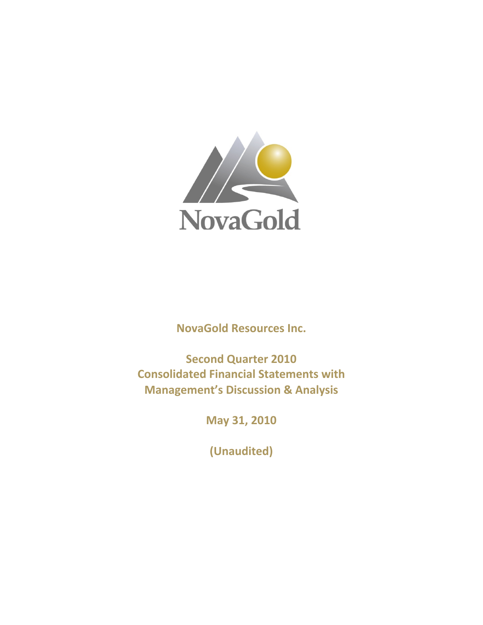

**NovaGold Resources Inc.**

**Second Quarter 2010 Consolidated Financial Statements with Management's Discussion & Analysis**

**May 31, 2010**

**(Unaudited)**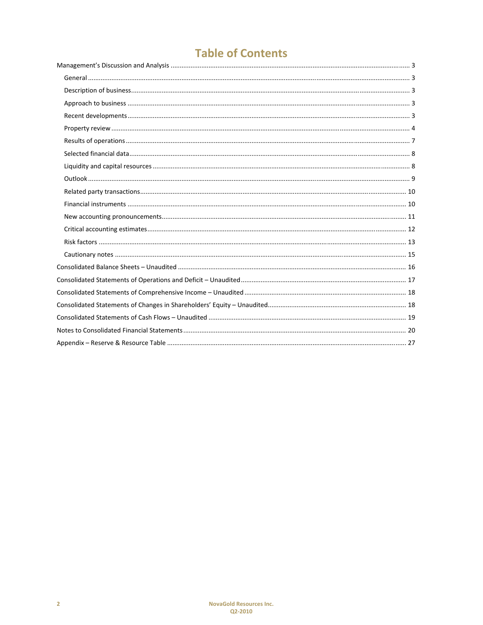# **Table of Contents**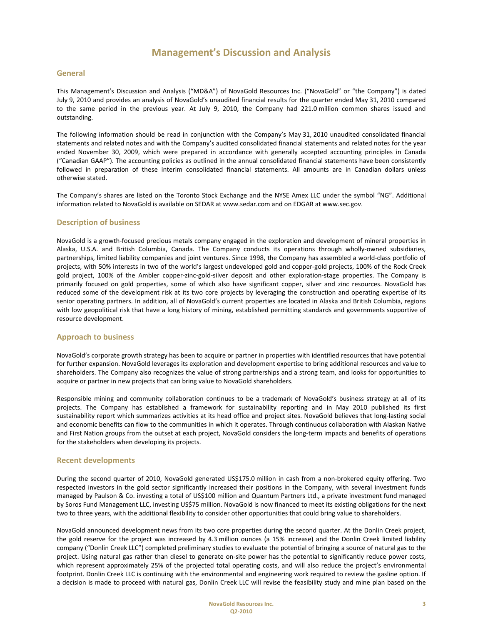#### **General**

This Management's Discussion and Analysis ("MD&A") of NovaGold Resources Inc. ("NovaGold" or "the Company") is dated July 9, 2010 and provides an analysis of NovaGold's unaudited financial results for the quarter ended May 31, 2010 compared to the same period in the previous year. At July 9, 2010, the Company had 221.0 million common shares issued and outstanding.

The following information should be read in conjunction with the Company's May 31, 2010 unaudited consolidated financial statements and related notes and with the Company's audited consolidated financial statements and related notes for the year ended November 30, 2009, which were prepared in accordance with generally accepted accounting principles in Canada ("Canadian GAAP"). The accounting policies as outlined in the annual consolidated financial statements have been consistently followed in preparation of these interim consolidated financial statements. All amounts are in Canadian dollars unless otherwise stated.

The Company's shares are listed on the Toronto Stock Exchange and the NYSE Amex LLC under the symbol "NG". Additional information related to NovaGold is available on SEDAR at www.sedar.com and on EDGAR at www.sec.gov.

#### **Description of business**

NovaGold is a growth‐focused precious metals company engaged in the exploration and development of mineral properties in Alaska, U.S.A. and British Columbia, Canada. The Company conducts its operations through wholly‐owned subsidiaries, partnerships, limited liability companies and joint ventures. Since 1998, the Company has assembled a world‐class portfolio of projects, with 50% interests in two of the world's largest undeveloped gold and copper-gold projects, 100% of the Rock Creek gold project, 100% of the Ambler copper-zinc-gold-silver deposit and other exploration-stage properties. The Company is primarily focused on gold properties, some of which also have significant copper, silver and zinc resources. NovaGold has reduced some of the development risk at its two core projects by leveraging the construction and operating expertise of its senior operating partners. In addition, all of NovaGold's current properties are located in Alaska and British Columbia, regions with low geopolitical risk that have a long history of mining, established permitting standards and governments supportive of resource development.

#### **Approach to business**

NovaGold's corporate growth strategy has been to acquire or partner in properties with identified resources that have potential for further expansion. NovaGold leverages its exploration and development expertise to bring additional resources and value to shareholders. The Company also recognizes the value of strong partnerships and a strong team, and looks for opportunities to acquire or partner in new projects that can bring value to NovaGold shareholders.

Responsible mining and community collaboration continues to be a trademark of NovaGold's business strategy at all of its projects. The Company has established a framework for sustainability reporting and in May 2010 published its first sustainability report which summarizes activities at its head office and project sites. NovaGold believes that long‐lasting social and economic benefits can flow to the communities in which it operates. Through continuous collaboration with Alaskan Native and First Nation groups from the outset at each project, NovaGold considers the long-term impacts and benefits of operations for the stakeholders when developing its projects.

#### **Recent developments**

During the second quarter of 2010, NovaGold generated US\$175.0 million in cash from a non-brokered equity offering. Two respected investors in the gold sector significantly increased their positions in the Company, with several investment funds managed by Paulson & Co. investing a total of US\$100 million and Quantum Partners Ltd., a private investment fund managed by Soros Fund Management LLC, investing US\$75 million. NovaGold is now financed to meet its existing obligations for the next two to three years, with the additional flexibility to consider other opportunities that could bring value to shareholders.

NovaGold announced development news from its two core properties during the second quarter. At the Donlin Creek project, the gold reserve for the project was increased by 4.3 million ounces (a 15% increase) and the Donlin Creek limited liability company ("Donlin Creek LLC") completed preliminary studies to evaluate the potential of bringing a source of natural gas to the project. Using natural gas rather than diesel to generate on-site power has the potential to significantly reduce power costs, which represent approximately 25% of the projected total operating costs, and will also reduce the project's environmental footprint. Donlin Creek LLC is continuing with the environmental and engineering work required to review the gasline option. If a decision is made to proceed with natural gas, Donlin Creek LLC will revise the feasibility study and mine plan based on the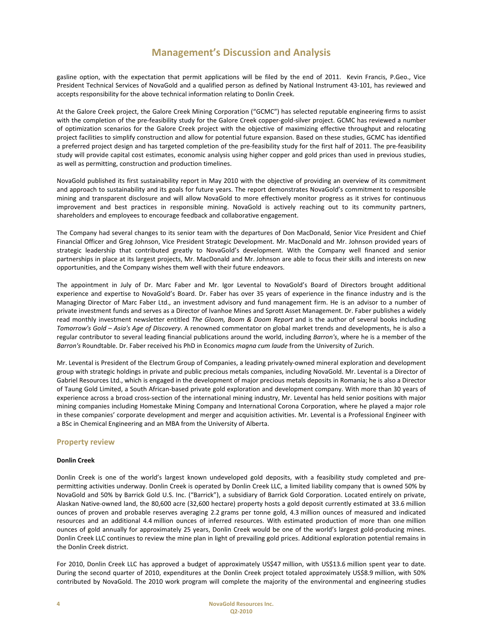gasline option, with the expectation that permit applications will be filed by the end of 2011. Kevin Francis, P.Geo., Vice President Technical Services of NovaGold and a qualified person as defined by National Instrument 43‐101, has reviewed and accepts responsibility for the above technical information relating to Donlin Creek.

At the Galore Creek project, the Galore Creek Mining Corporation ("GCMC") has selected reputable engineering firms to assist with the completion of the pre-feasibility study for the Galore Creek copper-gold-silver project. GCMC has reviewed a number of optimization scenarios for the Galore Creek project with the objective of maximizing effective throughput and relocating project facilities to simplify construction and allow for potential future expansion. Based on these studies, GCMC has identified a preferred project design and has targeted completion of the pre‐feasibility study for the first half of 2011. The pre‐feasibility study will provide capital cost estimates, economic analysis using higher copper and gold prices than used in previous studies, as well as permitting, construction and production timelines.

NovaGold published its first sustainability report in May 2010 with the objective of providing an overview of its commitment and approach to sustainability and its goals for future years. The report demonstrates NovaGold's commitment to responsible mining and transparent disclosure and will allow NovaGold to more effectively monitor progress as it strives for continuous improvement and best practices in responsible mining. NovaGold is actively reaching out to its community partners, shareholders and employees to encourage feedback and collaborative engagement.

The Company had several changes to its senior team with the departures of Don MacDonald, Senior Vice President and Chief Financial Officer and Greg Johnson, Vice President Strategic Development. Mr. MacDonald and Mr. Johnson provided years of strategic leadership that contributed greatly to NovaGold's development. With the Company well financed and senior partnerships in place at its largest projects, Mr. MacDonald and Mr. Johnson are able to focus their skills and interests on new opportunities, and the Company wishes them well with their future endeavors.

The appointment in July of Dr. Marc Faber and Mr. Igor Levental to NovaGold's Board of Directors brought additional experience and expertise to NovaGold's Board. Dr. Faber has over 35 years of experience in the finance industry and is the Managing Director of Marc Faber Ltd., an investment advisory and fund management firm. He is an advisor to a number of private investment funds and serves as a Director of Ivanhoe Mines and Sprott Asset Management. Dr. Faber publishes a widely read monthly investment newsletter entitled *The Gloom, Boom & Doom Report* and is the author of several books including *Tomorrow's Gold – Asia's Age of Discovery*. A renowned commentator on global market trends and developments, he is also a regular contributor to several leading financial publications around the world, including *Barron's*, where he is a member of the *Barron's* Roundtable. Dr. Faber received his PhD in Economics *magna cum laude* from the University of Zurich.

Mr. Levental is President of the Electrum Group of Companies, a leading privately‐owned mineral exploration and development group with strategic holdings in private and public precious metals companies, including NovaGold. Mr. Levental is a Director of Gabriel Resources Ltd., which is engaged in the development of major precious metals deposits in Romania; he is also a Director of Taung Gold Limited, a South African‐based private gold exploration and development company. With more than 30 years of experience across a broad cross‐section of the international mining industry, Mr. Levental has held senior positions with major mining companies including Homestake Mining Company and International Corona Corporation, where he played a major role in these companies' corporate development and merger and acquisition activities. Mr. Levental is a Professional Engineer with a BSc in Chemical Engineering and an MBA from the University of Alberta.

#### **Property review**

#### **Donlin Creek**

Donlin Creek is one of the world's largest known undeveloped gold deposits, with a feasibility study completed and pre‐ permitting activities underway. Donlin Creek is operated by Donlin Creek LLC, a limited liability company that is owned 50% by NovaGold and 50% by Barrick Gold U.S. Inc. ("Barrick"), a subsidiary of Barrick Gold Corporation. Located entirely on private, Alaskan Native‐owned land, the 80,600 acre (32,600 hectare) property hosts a gold deposit currently estimated at 33.6 million ounces of proven and probable reserves averaging 2.2 grams per tonne gold, 4.3 million ounces of measured and indicated resources and an additional 4.4 million ounces of inferred resources. With estimated production of more than one million ounces of gold annually for approximately 25 years, Donlin Creek would be one of the world's largest gold‐producing mines. Donlin Creek LLC continues to review the mine plan in light of prevailing gold prices. Additional exploration potential remains in the Donlin Creek district.

For 2010, Donlin Creek LLC has approved a budget of approximately US\$47 million, with US\$13.6 million spent year to date. During the second quarter of 2010, expenditures at the Donlin Creek project totaled approximately US\$8.9 million, with 50% contributed by NovaGold. The 2010 work program will complete the majority of the environmental and engineering studies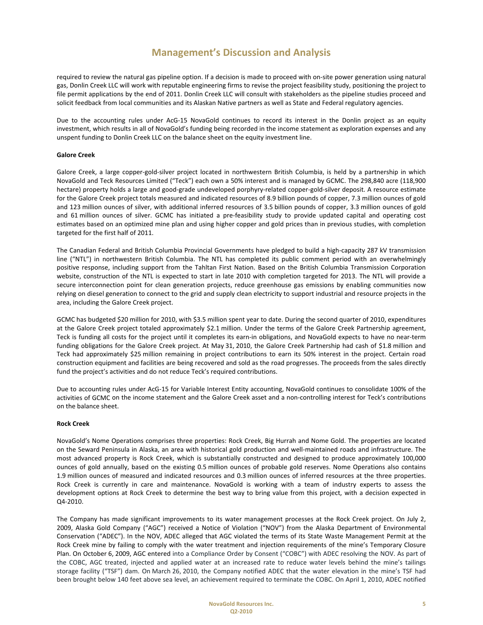required to review the natural gas pipeline option. If a decision is made to proceed with on‐site power generation using natural gas, Donlin Creek LLC will work with reputable engineering firms to revise the project feasibility study, positioning the project to file permit applications by the end of 2011. Donlin Creek LLC will consult with stakeholders as the pipeline studies proceed and solicit feedback from local communities and its Alaskan Native partners as well as State and Federal regulatory agencies.

Due to the accounting rules under AcG-15 NovaGold continues to record its interest in the Donlin project as an equity investment, which results in all of NovaGold's funding being recorded in the income statement as exploration expenses and any unspent funding to Donlin Creek LLC on the balance sheet on the equity investment line.

#### **Galore Creek**

Galore Creek, a large copper‐gold‐silver project located in northwestern British Columbia, is held by a partnership in which NovaGold and Teck Resources Limited ("Teck") each own a 50% interest and is managed by GCMC. The 298,840 acre (118,900 hectare) property holds a large and good-grade undeveloped porphyry-related copper-gold-silver deposit. A resource estimate for the Galore Creek project totals measured and indicated resources of 8.9 billion pounds of copper, 7.3 million ounces of gold and 123 million ounces of silver, with additional inferred resources of 3.5 billion pounds of copper, 3.3 million ounces of gold and 61 million ounces of silver. GCMC has initiated a pre‐feasibility study to provide updated capital and operating cost estimates based on an optimized mine plan and using higher copper and gold prices than in previous studies, with completion targeted for the first half of 2011.

The Canadian Federal and British Columbia Provincial Governments have pledged to build a high‐capacity 287 kV transmission line ("NTL") in northwestern British Columbia. The NTL has completed its public comment period with an overwhelmingly positive response, including support from the Tahltan First Nation. Based on the British Columbia Transmission Corporation website, construction of the NTL is expected to start in late 2010 with completion targeted for 2013. The NTL will provide a secure interconnection point for clean generation projects, reduce greenhouse gas emissions by enabling communities now relying on diesel generation to connect to the grid and supply clean electricity to support industrial and resource projects in the area, including the Galore Creek project.

GCMC has budgeted \$20 million for 2010, with \$3.5 million spent year to date. During the second quarter of 2010, expenditures at the Galore Creek project totaled approximately \$2.1 million. Under the terms of the Galore Creek Partnership agreement, Teck is funding all costs for the project until it completes its earn-in obligations, and NovaGold expects to have no near-term funding obligations for the Galore Creek project. At May 31, 2010, the Galore Creek Partnership had cash of \$1.8 million and Teck had approximately \$25 million remaining in project contributions to earn its 50% interest in the project. Certain road construction equipment and facilities are being recovered and sold as the road progresses. The proceeds from the sales directly fund the project's activities and do not reduce Teck's required contributions.

Due to accounting rules under AcG‐15 for Variable Interest Entity accounting, NovaGold continues to consolidate 100% of the activities of GCMC on the income statement and the Galore Creek asset and a non-controlling interest for Teck's contributions on the balance sheet.

#### **Rock Creek**

NovaGold's Nome Operations comprises three properties: Rock Creek, Big Hurrah and Nome Gold. The properties are located on the Seward Peninsula in Alaska, an area with historical gold production and well‐maintained roads and infrastructure. The most advanced property is Rock Creek, which is substantially constructed and designed to produce approximately 100,000 ounces of gold annually, based on the existing 0.5 million ounces of probable gold reserves. Nome Operations also contains 1.9 million ounces of measured and indicated resources and 0.3 million ounces of inferred resources at the three properties. Rock Creek is currently in care and maintenance. NovaGold is working with a team of industry experts to assess the development options at Rock Creek to determine the best way to bring value from this project, with a decision expected in Q4‐2010.

The Company has made significant improvements to its water management processes at the Rock Creek project. On July 2, 2009, Alaska Gold Company ("AGC") received a Notice of Violation ("NOV") from the Alaska Department of Environmental Conservation ("ADEC"). In the NOV, ADEC alleged that AGC violated the terms of its State Waste Management Permit at the Rock Creek mine by failing to comply with the water treatment and injection requirements of the mine's Temporary Closure Plan. On October 6, 2009, AGC entered into a Compliance Order by Consent ("COBC") with ADEC resolving the NOV. As part of the COBC, AGC treated, injected and applied water at an increased rate to reduce water levels behind the mine's tailings storage facility ("TSF") dam. On March 26, 2010, the Company notified ADEC that the water elevation in the mine's TSF had been brought below 140 feet above sea level, an achievement required to terminate the COBC. On April 1, 2010, ADEC notified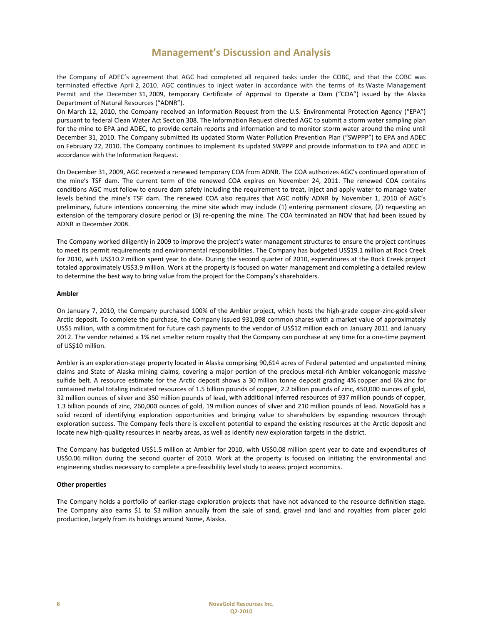the Company of ADEC's agreement that AGC had completed all required tasks under the COBC, and that the COBC was terminated effective April 2, 2010. AGC continues to inject water in accordance with the terms of its Waste Management Permit and the December 31, 2009, temporary Certificate of Approval to Operate a Dam ("COA") issued by the Alaska Department of Natural Resources ("ADNR").

On March 12, 2010, the Company received an Information Request from the U.S. Environmental Protection Agency ("EPA") pursuant to federal Clean Water Act Section 308. The Information Request directed AGC to submit a storm water sampling plan for the mine to EPA and ADEC, to provide certain reports and information and to monitor storm water around the mine until December 31, 2010. The Company submitted its updated Storm Water Pollution Prevention Plan ("SWPPP") to EPA and ADEC on February 22, 2010. The Company continues to implement its updated SWPPP and provide information to EPA and ADEC in accordance with the Information Request.

On December 31, 2009, AGC received a renewed temporary COA from ADNR. The COA authorizes AGC's continued operation of the mine's TSF dam. The current term of the renewed COA expires on November 24, 2011. The renewed COA contains conditions AGC must follow to ensure dam safety including the requirement to treat, inject and apply water to manage water levels behind the mine's TSF dam. The renewed COA also requires that AGC notify ADNR by November 1, 2010 of AGC's preliminary, future intentions concerning the mine site which may include (1) entering permanent closure, (2) requesting an extension of the temporary closure period or (3) re-opening the mine. The COA terminated an NOV that had been issued by ADNR in December 2008.

The Company worked diligently in 2009 to improve the project's water management structures to ensure the project continues to meet its permit requirements and environmental responsibilities. The Company has budgeted US\$19.1 million at Rock Creek for 2010, with US\$10.2 million spent year to date. During the second quarter of 2010, expenditures at the Rock Creek project totaled approximately US\$3.9 million. Work at the property is focused on water management and completing a detailed review to determine the best way to bring value from the project for the Company's shareholders.

#### **Ambler**

On January 7, 2010, the Company purchased 100% of the Ambler project, which hosts the high-grade copper-zinc-gold-silver Arctic deposit. To complete the purchase, the Company issued 931,098 common shares with a market value of approximately US\$5 million, with a commitment for future cash payments to the vendor of US\$12 million each on January 2011 and January 2012. The vendor retained a 1% net smelter return royalty that the Company can purchase at any time for a one‐time payment of US\$10 million.

Ambler is an exploration‐stage property located in Alaska comprising 90,614 acres of Federal patented and unpatented mining claims and State of Alaska mining claims, covering a major portion of the precious-metal-rich Ambler volcanogenic massive sulfide belt. A resource estimate for the Arctic deposit shows a 30 million tonne deposit grading 4% copper and 6% zinc for contained metal totaling indicated resources of 1.5 billion pounds of copper, 2.2 billion pounds of zinc, 450,000 ounces of gold, 32 million ounces of silver and 350 million pounds of lead, with additional inferred resources of 937 million pounds of copper, 1.3 billion pounds of zinc, 260,000 ounces of gold, 19 million ounces of silver and 210 million pounds of lead. NovaGold has a solid record of identifying exploration opportunities and bringing value to shareholders by expanding resources through exploration success. The Company feels there is excellent potential to expand the existing resources at the Arctic deposit and locate new high‐quality resources in nearby areas, as well as identify new exploration targets in the district.

The Company has budgeted US\$1.5 million at Ambler for 2010, with US\$0.08 million spent year to date and expenditures of US\$0.06 million during the second quarter of 2010. Work at the property is focused on initiating the environmental and engineering studies necessary to complete a pre‐feasibility level study to assess project economics.

#### **Other properties**

The Company holds a portfolio of earlier‐stage exploration projects that have not advanced to the resource definition stage. The Company also earns \$1 to \$3 million annually from the sale of sand, gravel and land and royalties from placer gold production, largely from its holdings around Nome, Alaska.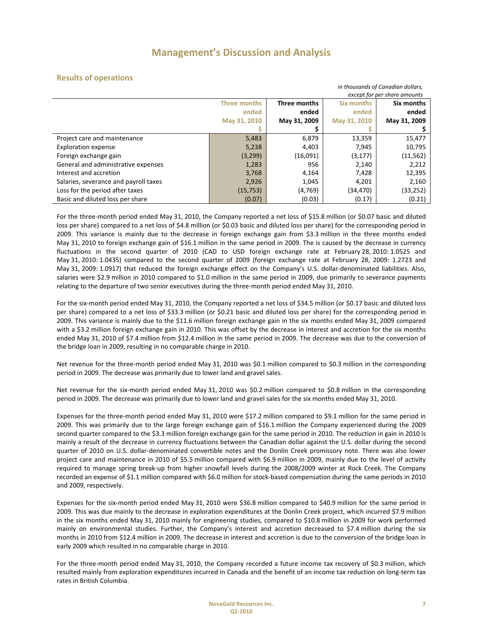#### **Results of operations**

|                                       | in thousands of Canadian dollars, |                              |              |              |  |
|---------------------------------------|-----------------------------------|------------------------------|--------------|--------------|--|
|                                       |                                   | except for per share amounts |              |              |  |
|                                       | <b>Three months</b>               | Three months                 | Six months   | Six months   |  |
|                                       | ended                             | ended                        | ended        | ended        |  |
|                                       | May 31, 2010                      | May 31, 2009                 | May 31, 2010 | May 31, 2009 |  |
|                                       |                                   |                              |              |              |  |
| Project care and maintenance          | 5,483                             | 6,879                        | 13,359       | 15,477       |  |
| <b>Exploration expense</b>            | 5,238                             | 4,403                        | 7,945        | 10,795       |  |
| Foreign exchange gain                 | (3, 299)                          | (16,091)                     | (3, 177)     | (11, 562)    |  |
| General and administrative expenses   | 1,283                             | 956                          | 2,140        | 2,212        |  |
| Interest and accretion                | 3,768                             | 4,164                        | 7,428        | 12,395       |  |
| Salaries, severance and payroll taxes | 2,926                             | 1,045                        | 4,201        | 2,160        |  |
| Loss for the period after taxes       | (15, 753)                         | (4,769)                      | (34,470)     | (33, 252)    |  |
| Basic and diluted loss per share      | (0.07)                            | (0.03)                       | (0.17)       | (0.21)       |  |

For the three-month period ended May 31, 2010, the Company reported a net loss of \$15.8 million (or \$0.07 basic and diluted loss per share) compared to a net loss of \$4.8 million (or \$0.03 basic and diluted loss per share) for the corresponding period in 2009. This variance is mainly due to the decrease in foreign exchange gain from \$3.3 million in the three months ended May 31, 2010 to foreign exchange gain of \$16.1 million in the same period in 2009. The is caused by the decrease in currency fluctuations in the second quarter of 2010 (CAD to USD foreign exchange rate at February 28, 2010: 1.0525 and May 31, 2010: 1.0435) compared to the second quarter of 2009 (foreign exchange rate at February 28, 2009: 1.2723 and May 31, 2009: 1.0917) that reduced the foreign exchange effect on the Company's U.S. dollar-denominated liabilities. Also, salaries were \$2.9 million in 2010 compared to \$1.0 million in the same period in 2009, due primarily to severance payments relating to the departure of two senior executives during the three‐month period ended May 31, 2010.

For the six-month period ended May 31, 2010, the Company reported a net loss of \$34.5 million (or \$0.17 basic and diluted loss per share) compared to a net loss of \$33.3 million (or \$0.21 basic and diluted loss per share) for the corresponding period in 2009. This variance is mainly due to the \$11.6 million foreign exchange gain in the six months ended May 31, 2009 compared with a \$3.2 million foreign exchange gain in 2010. This was offset by the decrease in interest and accretion for the six months ended May 31, 2010 of \$7.4 million from \$12.4 million in the same period in 2009. The decrease was due to the conversion of the bridge loan in 2009, resulting in no comparable charge in 2010.

Net revenue for the three‐month period ended May 31, 2010 was \$0.1 million compared to \$0.3 million in the corresponding period in 2009. The decrease was primarily due to lower land and gravel sales.

Net revenue for the six-month period ended May 31, 2010 was \$0.2 million compared to \$0.8 million in the corresponding period in 2009. The decrease was primarily due to lower land and gravel sales for the six months ended May 31, 2010.

Expenses for the three-month period ended May 31, 2010 were \$17.2 million compared to \$9.1 million for the same period in 2009. This was primarily due to the large foreign exchange gain of \$16.1 million the Company experienced during the 2009 second quarter compared to the \$3.3 million foreign exchange gain for the same period in 2010. The reduction in gain in 2010 is mainly a result of the decrease in currency fluctuations between the Canadian dollar against the U.S. dollar during the second quarter of 2010 on U.S. dollar‐denominated convertible notes and the Donlin Creek promissory note. There was also lower project care and maintenance in 2010 of \$5.5 million compared with \$6.9 million in 2009, mainly due to the level of activity required to manage spring break‐up from higher snowfall levels during the 2008/2009 winter at Rock Creek. The Company recorded an expense of \$1.1 million compared with \$6.0 million for stock‐based compensation during the same periods in 2010 and 2009, respectively.

Expenses for the six‐month period ended May 31, 2010 were \$36.8 million compared to \$40.9 million for the same period in 2009. This was due mainly to the decrease in exploration expenditures at the Donlin Creek project, which incurred \$7.9 million in the six months ended May 31, 2010 mainly for engineering studies, compared to \$10.8 million in 2009 for work performed mainly on environmental studies. Further, the Company's interest and accretion decreased to \$7.4 million during the six months in 2010 from \$12.4 million in 2009. The decrease in interest and accretion is due to the conversion of the bridge loan in early 2009 which resulted in no comparable charge in 2010.

For the three-month period ended May 31, 2010, the Company recorded a future income tax recovery of \$0.3 million, which resulted mainly from exploration expenditures incurred in Canada and the benefit of an income tax reduction on long‐term tax rates in British Columbia.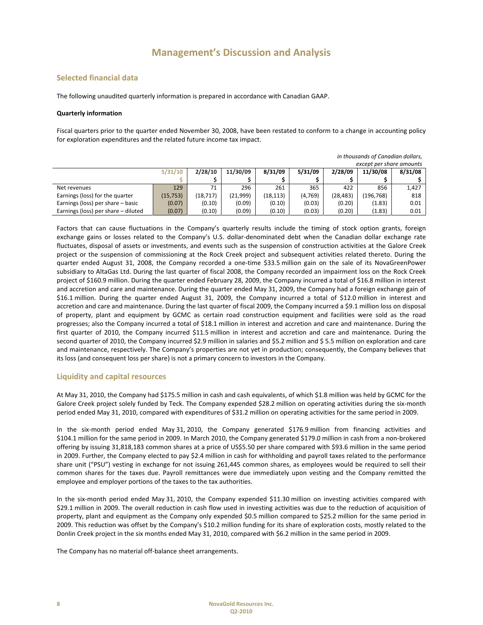#### **Selected financial data**

The following unaudited quarterly information is prepared in accordance with Canadian GAAP.

#### **Quarterly information**

Fiscal quarters prior to the quarter ended November 30, 2008, have been restated to conform to a change in accounting policy for exploration expenditures and the related future income tax impact.

*in thousands of Canadian dollars,*

| <u>m thousunus of cunumum uphurs,</u> |           |           |          |           |          |           |            |         |
|---------------------------------------|-----------|-----------|----------|-----------|----------|-----------|------------|---------|
| except per share amounts              |           |           |          |           |          |           |            |         |
|                                       | 5/31/10   | 2/28/10   | 11/30/09 | 8/31/09   | 5/31/09  | 2/28/09   | 11/30/08   | 8/31/08 |
|                                       |           |           |          |           |          |           |            |         |
| Net revenues                          | 129       | 71        | 296      | 261       | 365      | 422       | 856        | 1.427   |
| Earnings (loss) for the quarter       | (15, 753) | (18, 717) | (21,999) | (18, 113) | (4, 769) | (28, 483) | (196, 768) | 818     |
| Earnings (loss) per share - basic     | (0.07)    | (0.10)    | (0.09)   | (0.10)    | (0.03)   | (0.20)    | (1.83)     | 0.01    |
| Earnings (loss) per share - diluted   | (0.07)    | (0.10)    | (0.09)   | (0.10)    | (0.03)   | (0.20)    | (1.83)     | 0.01    |

Factors that can cause fluctuations in the Company's quarterly results include the timing of stock option grants, foreign exchange gains or losses related to the Company's U.S. dollar-denominated debt when the Canadian dollar exchange rate fluctuates, disposal of assets or investments, and events such as the suspension of construction activities at the Galore Creek project or the suspension of commissioning at the Rock Creek project and subsequent activities related thereto. During the quarter ended August 31, 2008, the Company recorded a one-time \$33.5 million gain on the sale of its NovaGreenPower subsidiary to AltaGas Ltd. During the last quarter of fiscal 2008, the Company recorded an impairment loss on the Rock Creek project of \$160.9 million. During the quarter ended February 28, 2009, the Company incurred a total of \$16.8 million in interest and accretion and care and maintenance. During the quarter ended May 31, 2009, the Company had a foreign exchange gain of \$16.1 million. During the quarter ended August 31, 2009, the Company incurred a total of \$12.0 million in interest and accretion and care and maintenance. During the last quarter of fiscal 2009, the Company incurred a \$9.1 million loss on disposal of property, plant and equipment by GCMC as certain road construction equipment and facilities were sold as the road progresses; also the Company incurred a total of \$18.1 million in interest and accretion and care and maintenance. During the first quarter of 2010, the Company incurred \$11.5 million in interest and accretion and care and maintenance. During the second quarter of 2010, the Company incurred \$2.9 million in salaries and \$5.2 million and \$ 5.5 million on exploration and care and maintenance, respectively. The Company's properties are not yet in production; consequently, the Company believes that its loss (and consequent loss per share) is not a primary concern to investors in the Company.

#### **Liquidity and capital resources**

At May 31, 2010, the Company had \$175.5 million in cash and cash equivalents, of which \$1.8 million was held by GCMC for the Galore Creek project solely funded by Teck. The Company expended \$28.2 million on operating activities during the six-month period ended May 31, 2010, compared with expenditures of \$31.2 million on operating activities for the same period in 2009.

In the six‐month period ended May 31, 2010, the Company generated \$176.9 million from financing activities and \$104.1 million for the same period in 2009. In March 2010, the Company generated \$179.0 million in cash from a non‐brokered offering by issuing 31,818,183 common shares at a price of US\$5.50 per share compared with \$93.6 million in the same period in 2009. Further, the Company elected to pay \$2.4 million in cash for withholding and payroll taxes related to the performance share unit ("PSU") vesting in exchange for not issuing 261,445 common shares, as employees would be required to sell their common shares for the taxes due. Payroll remittances were due immediately upon vesting and the Company remitted the employee and employer portions of the taxes to the tax authorities.

In the six-month period ended May 31, 2010, the Company expended \$11.30 million on investing activities compared with \$29.1 million in 2009. The overall reduction in cash flow used in investing activities was due to the reduction of acquisition of property, plant and equipment as the Company only expended \$0.5 million compared to \$25.2 million for the same period in 2009. This reduction was offset by the Company's \$10.2 million funding for its share of exploration costs, mostly related to the Donlin Creek project in the six months ended May 31, 2010, compared with \$6.2 million in the same period in 2009.

The Company has no material off‐balance sheet arrangements.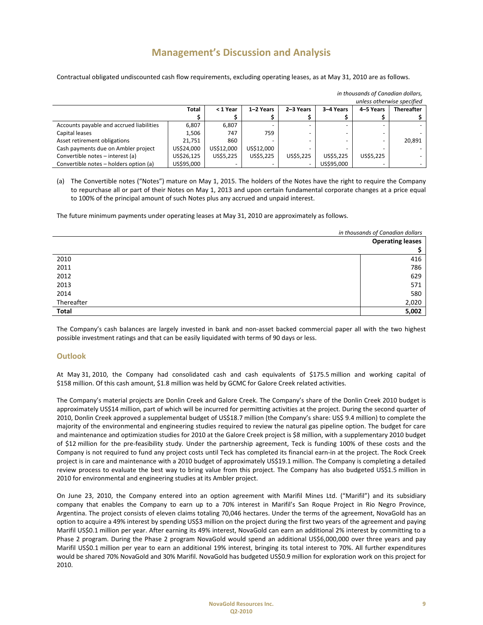Contractual obligated undiscounted cash flow requirements, excluding operating leases, as at May 31, 2010 are as follows.

| unless otherwise specified               |              |            |            |           |            |           |                   |
|------------------------------------------|--------------|------------|------------|-----------|------------|-----------|-------------------|
|                                          | <b>Total</b> | < 1 Year   | 1-2 Years  | 2-3 Years | 3-4 Years  | 4-5 Years | <b>Thereafter</b> |
|                                          |              |            |            |           |            |           |                   |
| Accounts payable and accrued liabilities | 6,807        | 6,807      |            |           |            |           |                   |
| Capital leases                           | 1.506        | 747        | 759        |           |            | -         |                   |
| Asset retirement obligations             | 21.751       | 860        |            |           |            |           | 20,891            |
| Cash payments due on Ambler project      | US\$24,000   | US\$12.000 | US\$12,000 |           |            |           |                   |
| Convertible notes - interest (a)         | US\$26,125   | US\$5,225  | US\$5,225  | US\$5.225 | US\$5.225  | US\$5,225 |                   |
| Convertible notes - holders option (a)   | US\$95,000   |            |            |           | US\$95.000 |           |                   |

*in thousands of Canadian dollars,*

(a) The Convertible notes ("Notes") mature on May 1, 2015. The holders of the Notes have the right to require the Company to repurchase all or part of their Notes on May 1, 2013 and upon certain fundamental corporate changes at a price equal to 100% of the principal amount of such Notes plus any accrued and unpaid interest.

The future minimum payments under operating leases at May 31, 2010 are approximately as follows.

|              | in thousands of Canadian dollars |  |
|--------------|----------------------------------|--|
|              | <b>Operating leases</b>          |  |
|              |                                  |  |
| 2010         | 416                              |  |
| 2011         | 786                              |  |
| 2012         | 629                              |  |
| 2013         | 571                              |  |
| 2014         | 580                              |  |
| Thereafter   | 2,020                            |  |
| <b>Total</b> | 5,002                            |  |

The Company's cash balances are largely invested in bank and non‐asset backed commercial paper all with the two highest possible investment ratings and that can be easily liquidated with terms of 90 days or less.

#### **Outlook**

At May 31, 2010, the Company had consolidated cash and cash equivalents of \$175.5 million and working capital of \$158 million. Of this cash amount, \$1.8 million was held by GCMC for Galore Creek related activities.

The Company's material projects are Donlin Creek and Galore Creek. The Company's share of the Donlin Creek 2010 budget is approximately US\$14 million, part of which will be incurred for permitting activities at the project. During the second quarter of 2010, Donlin Creek approved a supplemental budget of US\$18.7 million (the Company's share: US\$ 9.4 million) to complete the majority of the environmental and engineering studies required to review the natural gas pipeline option. The budget for care and maintenance and optimization studies for 2010 at the Galore Creek project is \$8 million, with a supplementary 2010 budget of \$12 million for the pre‐feasibility study. Under the partnership agreement, Teck is funding 100% of these costs and the Company is not required to fund any project costs until Teck has completed its financial earn-in at the project. The Rock Creek project is in care and maintenance with a 2010 budget of approximately US\$19.1 million. The Company is completing a detailed review process to evaluate the best way to bring value from this project. The Company has also budgeted US\$1.5 million in 2010 for environmental and engineering studies at its Ambler project.

On June 23, 2010, the Company entered into an option agreement with Marifil Mines Ltd. ("Marifil") and its subsidiary company that enables the Company to earn up to a 70% interest in Marifil's San Roque Project in Rio Negro Province, Argentina. The project consists of eleven claims totaling 70,046 hectares. Under the terms of the agreement, NovaGold has an option to acquire a 49% interest by spending US\$3 million on the project during the first two years of the agreement and paying Marifil US\$0.1 million per year. After earning its 49% interest, NovaGold can earn an additional 2% interest by committing to a Phase 2 program. During the Phase 2 program NovaGold would spend an additional US\$6,000,000 over three years and pay Marifil US\$0.1 million per year to earn an additional 19% interest, bringing its total interest to 70%. All further expenditures would be shared 70% NovaGold and 30% Marifil. NovaGold has budgeted US\$0.9 million for exploration work on this project for 2010.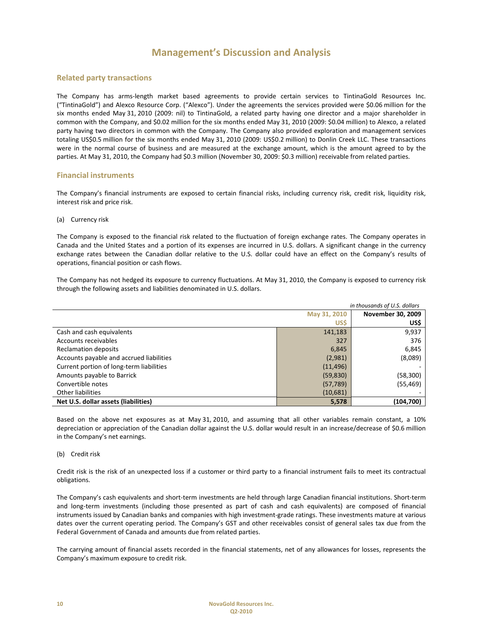#### **Related party transactions**

The Company has arms‐length market based agreements to provide certain services to TintinaGold Resources Inc. ("TintinaGold") and Alexco Resource Corp. ("Alexco"). Under the agreements the services provided were \$0.06 million for the six months ended May 31, 2010 (2009: nil) to TintinaGold, a related party having one director and a major shareholder in common with the Company, and \$0.02 million for the six months ended May 31, 2010 (2009: \$0.04 million) to Alexco, a related party having two directors in common with the Company. The Company also provided exploration and management services totaling US\$0.5 million for the six months ended May 31, 2010 (2009: US\$0.2 million) to Donlin Creek LLC. These transactions were in the normal course of business and are measured at the exchange amount, which is the amount agreed to by the parties. At May 31, 2010, the Company had \$0.3 million (November 30, 2009: \$0.3 million) receivable from related parties.

#### **Financial instruments**

The Company's financial instruments are exposed to certain financial risks, including currency risk, credit risk, liquidity risk, interest risk and price risk.

#### (a) Currency risk

The Company is exposed to the financial risk related to the fluctuation of foreign exchange rates. The Company operates in Canada and the United States and a portion of its expenses are incurred in U.S. dollars. A significant change in the currency exchange rates between the Canadian dollar relative to the U.S. dollar could have an effect on the Company's results of operations, financial position or cash flows.

The Company has not hedged its exposure to currency fluctuations. At May 31, 2010, the Company is exposed to currency risk through the following assets and liabilities denominated in U.S. dollars.

| in thousands of U.S. dollars             |              |                   |  |  |
|------------------------------------------|--------------|-------------------|--|--|
|                                          | May 31, 2010 | November 30, 2009 |  |  |
|                                          | <b>US\$</b>  | US\$              |  |  |
| Cash and cash equivalents                | 141,183      | 9,937             |  |  |
| Accounts receivables                     | 327          | 376               |  |  |
| <b>Reclamation deposits</b>              | 6,845        | 6,845             |  |  |
| Accounts payable and accrued liabilities | (2,981)      | (8,089)           |  |  |
| Current portion of long-term liabilities | (11, 496)    |                   |  |  |
| Amounts payable to Barrick               | (59, 830)    | (58, 300)         |  |  |
| Convertible notes                        | (57, 789)    | (55, 469)         |  |  |
| <b>Other liabilities</b>                 | (10,681)     |                   |  |  |
| Net U.S. dollar assets (liabilities)     | 5,578        | (104, 700)        |  |  |

Based on the above net exposures as at May 31, 2010, and assuming that all other variables remain constant, a 10% depreciation or appreciation of the Canadian dollar against the U.S. dollar would result in an increase/decrease of \$0.6 million in the Company's net earnings.

#### (b) Credit risk

Credit risk is the risk of an unexpected loss if a customer or third party to a financial instrument fails to meet its contractual obligations.

The Company's cash equivalents and short‐term investments are held through large Canadian financial institutions. Short‐term and long‐term investments (including those presented as part of cash and cash equivalents) are composed of financial instruments issued by Canadian banks and companies with high investment-grade ratings. These investments mature at various dates over the current operating period. The Company's GST and other receivables consist of general sales tax due from the Federal Government of Canada and amounts due from related parties.

The carrying amount of financial assets recorded in the financial statements, net of any allowances for losses, represents the Company's maximum exposure to credit risk.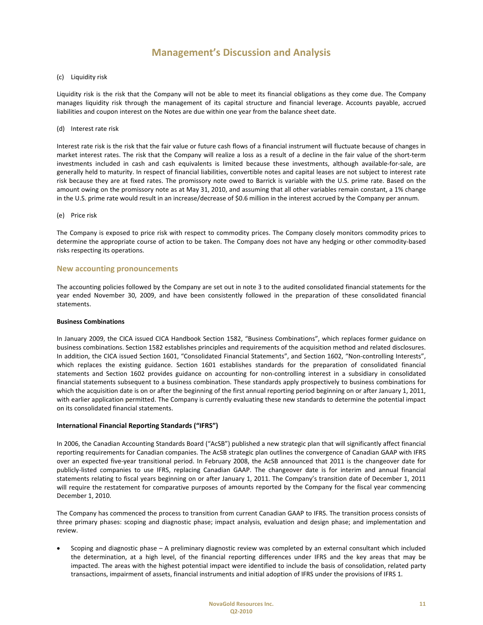#### (c) Liquidity risk

Liquidity risk is the risk that the Company will not be able to meet its financial obligations as they come due. The Company manages liquidity risk through the management of its capital structure and financial leverage. Accounts payable, accrued liabilities and coupon interest on the Notes are due within one year from the balance sheet date.

#### (d) Interest rate risk

Interest rate risk is the risk that the fair value or future cash flows of a financial instrument will fluctuate because of changes in market interest rates. The risk that the Company will realize a loss as a result of a decline in the fair value of the short‐term investments included in cash and cash equivalents is limited because these investments, although available-for-sale, are generally held to maturity. In respect of financial liabilities, convertible notes and capital leases are not subject to interest rate risk because they are at fixed rates. The promissory note owed to Barrick is variable with the U.S. prime rate. Based on the amount owing on the promissory note as at May 31, 2010, and assuming that all other variables remain constant, a 1% change in the U.S. prime rate would result in an increase/decrease of \$0.6 million in the interest accrued by the Company per annum.

#### (e) Price risk

The Company is exposed to price risk with respect to commodity prices. The Company closely monitors commodity prices to determine the appropriate course of action to be taken. The Company does not have any hedging or other commodity‐based risks respecting its operations.

#### **New accounting pronouncements**

The accounting policies followed by the Company are set out in note 3 to the audited consolidated financial statements for the year ended November 30, 2009, and have been consistently followed in the preparation of these consolidated financial statements.

#### **Business Combinations**

In January 2009, the CICA issued CICA Handbook Section 1582, "Business Combinations", which replaces former guidance on business combinations. Section 1582 establishes principles and requirements of the acquisition method and related disclosures. In addition, the CICA issued Section 1601, "Consolidated Financial Statements", and Section 1602, "Non-controlling Interests", which replaces the existing guidance. Section 1601 establishes standards for the preparation of consolidated financial statements and Section 1602 provides guidance on accounting for non-controlling interest in a subsidiary in consolidated financial statements subsequent to a business combination. These standards apply prospectively to business combinations for which the acquisition date is on or after the beginning of the first annual reporting period beginning on or after January 1, 2011, with earlier application permitted. The Company is currently evaluating these new standards to determine the potential impact on its consolidated financial statements.

#### **International Financial Reporting Standards ("IFRS")**

In 2006, the Canadian Accounting Standards Board ("AcSB") published a new strategic plan that will significantly affect financial reporting requirements for Canadian companies. The AcSB strategic plan outlines the convergence of Canadian GAAP with IFRS over an expected five‐year transitional period. In February 2008, the AcSB announced that 2011 is the changeover date for publicly‐listed companies to use IFRS, replacing Canadian GAAP. The changeover date is for interim and annual financial statements relating to fiscal years beginning on or after January 1, 2011. The Company's transition date of December 1, 2011 will require the restatement for comparative purposes of amounts reported by the Company for the fiscal year commencing December 1, 2010.

The Company has commenced the process to transition from current Canadian GAAP to IFRS. The transition process consists of three primary phases: scoping and diagnostic phase; impact analysis, evaluation and design phase; and implementation and review.

• Scoping and diagnostic phase – A preliminary diagnostic review was completed by an external consultant which included the determination, at a high level, of the financial reporting differences under IFRS and the key areas that may be impacted. The areas with the highest potential impact were identified to include the basis of consolidation, related party transactions, impairment of assets, financial instruments and initial adoption of IFRS under the provisions of IFRS 1.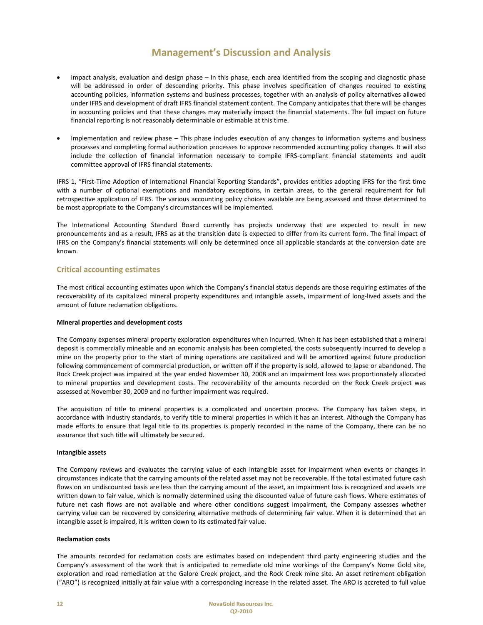- Impact analysis, evaluation and design phase In this phase, each area identified from the scoping and diagnostic phase will be addressed in order of descending priority. This phase involves specification of changes required to existing accounting policies, information systems and business processes, together with an analysis of policy alternatives allowed under IFRS and development of draft IFRS financial statement content. The Company anticipates that there will be changes in accounting policies and that these changes may materially impact the financial statements. The full impact on future financial reporting is not reasonably determinable or estimable at this time.
- Implementation and review phase This phase includes execution of any changes to information systems and business processes and completing formal authorization processes to approve recommended accounting policy changes. It will also include the collection of financial information necessary to compile IFRS‐compliant financial statements and audit committee approval of IFRS financial statements.

IFRS 1, "First‐Time Adoption of International Financial Reporting Standards", provides entities adopting IFRS for the first time with a number of optional exemptions and mandatory exceptions, in certain areas, to the general requirement for full retrospective application of IFRS. The various accounting policy choices available are being assessed and those determined to be most appropriate to the Company's circumstances will be implemented.

The International Accounting Standard Board currently has projects underway that are expected to result in new pronouncements and as a result, IFRS as at the transition date is expected to differ from its current form. The final impact of IFRS on the Company's financial statements will only be determined once all applicable standards at the conversion date are known.

#### **Critical accounting estimates**

The most critical accounting estimates upon which the Company's financial status depends are those requiring estimates of the recoverability of its capitalized mineral property expenditures and intangible assets, impairment of long‐lived assets and the amount of future reclamation obligations.

#### **Mineral properties and development costs**

The Company expenses mineral property exploration expenditures when incurred. When it has been established that a mineral deposit is commercially mineable and an economic analysis has been completed, the costs subsequently incurred to develop a mine on the property prior to the start of mining operations are capitalized and will be amortized against future production following commencement of commercial production, or written off if the property is sold, allowed to lapse or abandoned. The Rock Creek project was impaired at the year ended November 30, 2008 and an impairment loss was proportionately allocated to mineral properties and development costs. The recoverability of the amounts recorded on the Rock Creek project was assessed at November 30, 2009 and no further impairment was required.

The acquisition of title to mineral properties is a complicated and uncertain process. The Company has taken steps, in accordance with industry standards, to verify title to mineral properties in which it has an interest. Although the Company has made efforts to ensure that legal title to its properties is properly recorded in the name of the Company, there can be no assurance that such title will ultimately be secured.

#### **Intangible assets**

The Company reviews and evaluates the carrying value of each intangible asset for impairment when events or changes in circumstances indicate that the carrying amounts of the related asset may not be recoverable. If the total estimated future cash flows on an undiscounted basis are less than the carrying amount of the asset, an impairment loss is recognized and assets are written down to fair value, which is normally determined using the discounted value of future cash flows. Where estimates of future net cash flows are not available and where other conditions suggest impairment, the Company assesses whether carrying value can be recovered by considering alternative methods of determining fair value. When it is determined that an intangible asset is impaired, it is written down to its estimated fair value.

#### **Reclamation costs**

The amounts recorded for reclamation costs are estimates based on independent third party engineering studies and the Company's assessment of the work that is anticipated to remediate old mine workings of the Company's Nome Gold site, exploration and road remediation at the Galore Creek project, and the Rock Creek mine site. An asset retirement obligation ("ARO") is recognized initially at fair value with a corresponding increase in the related asset. The ARO is accreted to full value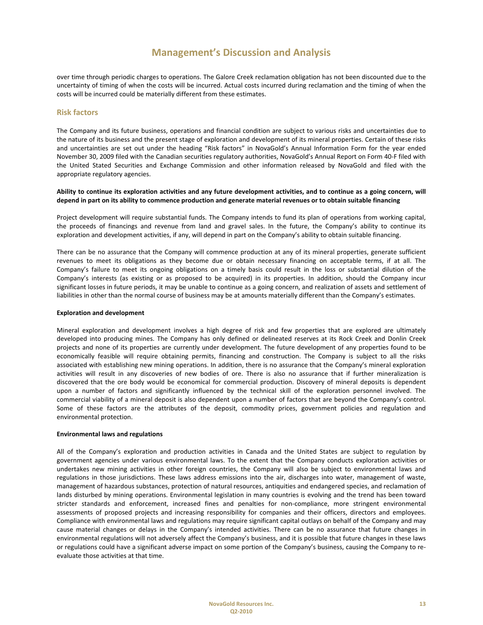over time through periodic charges to operations. The Galore Creek reclamation obligation has not been discounted due to the uncertainty of timing of when the costs will be incurred. Actual costs incurred during reclamation and the timing of when the costs will be incurred could be materially different from these estimates.

#### **Risk factors**

The Company and its future business, operations and financial condition are subject to various risks and uncertainties due to the nature of its business and the present stage of exploration and development of its mineral properties. Certain of these risks and uncertainties are set out under the heading "Risk factors" in NovaGold's Annual Information Form for the year ended November 30, 2009 filed with the Canadian securities regulatory authorities, NovaGold's Annual Report on Form 40‐F filed with the United Stated Securities and Exchange Commission and other information released by NovaGold and filed with the appropriate regulatory agencies.

#### Ability to continue its exploration activities and any future development activities, and to continue as a going concern, will depend in part on its ability to commence production and generate material revenues or to obtain suitable financing

Project development will require substantial funds. The Company intends to fund its plan of operations from working capital, the proceeds of financings and revenue from land and gravel sales. In the future, the Company's ability to continue its exploration and development activities, if any, will depend in part on the Company's ability to obtain suitable financing.

There can be no assurance that the Company will commence production at any of its mineral properties, generate sufficient revenues to meet its obligations as they become due or obtain necessary financing on acceptable terms, if at all. The Company's failure to meet its ongoing obligations on a timely basis could result in the loss or substantial dilution of the Company's interests (as existing or as proposed to be acquired) in its properties. In addition, should the Company incur significant losses in future periods, it may be unable to continue as a going concern, and realization of assets and settlement of liabilities in other than the normal course of business may be at amounts materially different than the Company's estimates.

#### **Exploration and development**

Mineral exploration and development involves a high degree of risk and few properties that are explored are ultimately developed into producing mines. The Company has only defined or delineated reserves at its Rock Creek and Donlin Creek projects and none of its properties are currently under development. The future development of any properties found to be economically feasible will require obtaining permits, financing and construction. The Company is subject to all the risks associated with establishing new mining operations. In addition, there is no assurance that the Company's mineral exploration activities will result in any discoveries of new bodies of ore. There is also no assurance that if further mineralization is discovered that the ore body would be economical for commercial production. Discovery of mineral deposits is dependent upon a number of factors and significantly influenced by the technical skill of the exploration personnel involved. The commercial viability of a mineral deposit is also dependent upon a number of factors that are beyond the Company's control. Some of these factors are the attributes of the deposit, commodity prices, government policies and regulation and environmental protection.

#### **Environmental laws and regulations**

All of the Company's exploration and production activities in Canada and the United States are subject to regulation by government agencies under various environmental laws. To the extent that the Company conducts exploration activities or undertakes new mining activities in other foreign countries, the Company will also be subject to environmental laws and regulations in those jurisdictions. These laws address emissions into the air, discharges into water, management of waste, management of hazardous substances, protection of natural resources, antiquities and endangered species, and reclamation of lands disturbed by mining operations. Environmental legislation in many countries is evolving and the trend has been toward stricter standards and enforcement, increased fines and penalties for non‐compliance, more stringent environmental assessments of proposed projects and increasing responsibility for companies and their officers, directors and employees. Compliance with environmental laws and regulations may require significant capital outlays on behalf of the Company and may cause material changes or delays in the Company's intended activities. There can be no assurance that future changes in environmental regulations will not adversely affect the Company's business, and it is possible that future changes in these laws or regulations could have a significant adverse impact on some portion of the Company's business, causing the Company to re‐ evaluate those activities at that time.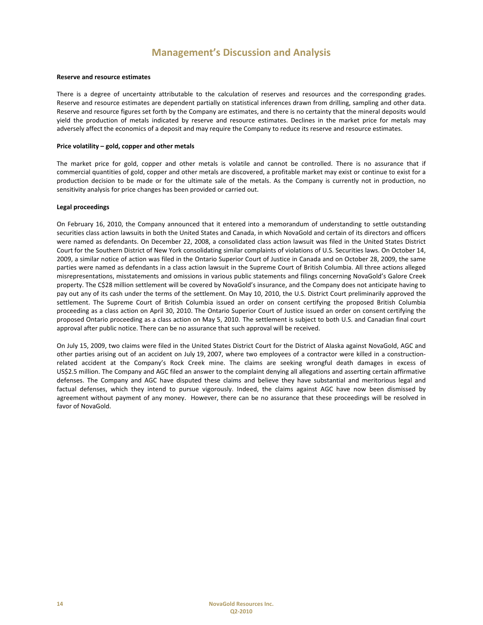#### **Reserve and resource estimates**

There is a degree of uncertainty attributable to the calculation of reserves and resources and the corresponding grades. Reserve and resource estimates are dependent partially on statistical inferences drawn from drilling, sampling and other data. Reserve and resource figures set forth by the Company are estimates, and there is no certainty that the mineral deposits would yield the production of metals indicated by reserve and resource estimates. Declines in the market price for metals may adversely affect the economics of a deposit and may require the Company to reduce its reserve and resource estimates.

#### **Price volatility – gold, copper and other metals**

The market price for gold, copper and other metals is volatile and cannot be controlled. There is no assurance that if commercial quantities of gold, copper and other metals are discovered, a profitable market may exist or continue to exist for a production decision to be made or for the ultimate sale of the metals. As the Company is currently not in production, no sensitivity analysis for price changes has been provided or carried out.

#### **Legal proceedings**

On February 16, 2010, the Company announced that it entered into a memorandum of understanding to settle outstanding securities class action lawsuits in both the United States and Canada, in which NovaGold and certain of its directors and officers were named as defendants. On December 22, 2008, a consolidated class action lawsuit was filed in the United States District Court for the Southern District of New York consolidating similar complaints of violations of U.S. Securities laws. On October 14, 2009, a similar notice of action was filed in the Ontario Superior Court of Justice in Canada and on October 28, 2009, the same parties were named as defendants in a class action lawsuit in the Supreme Court of British Columbia. All three actions alleged misrepresentations, misstatements and omissions in various public statements and filings concerning NovaGold's Galore Creek property. The C\$28 million settlement will be covered by NovaGold's insurance, and the Company does not anticipate having to pay out any of its cash under the terms of the settlement. On May 10, 2010, the U.S. District Court preliminarily approved the settlement. The Supreme Court of British Columbia issued an order on consent certifying the proposed British Columbia proceeding as a class action on April 30, 2010. The Ontario Superior Court of Justice issued an order on consent certifying the proposed Ontario proceeding as a class action on May 5, 2010. The settlement is subject to both U.S. and Canadian final court approval after public notice. There can be no assurance that such approval will be received.

On July 15, 2009, two claims were filed in the United States District Court for the District of Alaska against NovaGold, AGC and other parties arising out of an accident on July 19, 2007, where two employees of a contractor were killed in a constructionrelated accident at the Company's Rock Creek mine. The claims are seeking wrongful death damages in excess of US\$2.5 million. The Company and AGC filed an answer to the complaint denying all allegations and asserting certain affirmative defenses. The Company and AGC have disputed these claims and believe they have substantial and meritorious legal and factual defenses, which they intend to pursue vigorously. Indeed, the claims against AGC have now been dismissed by agreement without payment of any money. However, there can be no assurance that these proceedings will be resolved in favor of NovaGold.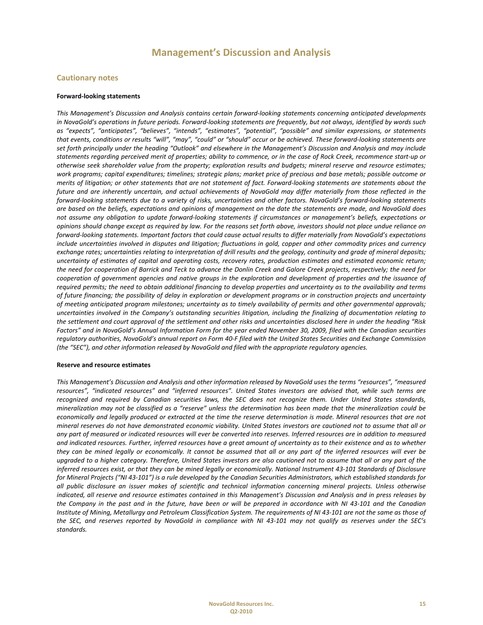#### **Cautionary notes**

#### **Forward‐looking statements**

*This Management's Discussion and Analysis contains certain forward‐looking statements concerning anticipated developments* in NovaGold's operations in future periods. Forward-looking statements are frequently, but not always, identified by words such *as "expects", "anticipates", "believes", "intends", "estimates", "potential", "possible" and similar expressions, or statements* that events, conditions or results "will", "may", "could" or "should" occur or be achieved. These forward-looking statements are set forth principally under the heading "Outlook" and elsewhere in the Management's Discussion and Analysis and may include statements regarding perceived merit of properties; ability to commence, or in the case of Rock Creek, recommence start-up or otherwise seek shareholder value from the property; exploration results and budgets; mineral reserve and resource estimates; work programs; capital expenditures; timelines; strategic plans; market price of precious and base metals; possible outcome or merits of litigation; or other statements that are not statement of fact. Forward-looking statements are statements about the future and are inherently uncertain, and actual achievements of NovaGold may differ materially from those reflected in the forward-looking statements due to a variety of risks, uncertainties and other factors. NovaGold's forward-looking statements are based on the beliefs, expectations and opinions of management on the date the statements are made, and NovaGold does not assume any obligation to update forward-looking statements if circumstances or management's beliefs, expectations or opinions should change except as required by law. For the reasons set forth above, investors should not place undue reliance on forward-looking statements. Important factors that could cause actual results to differ materially from NovaGold's expectations include uncertainties involved in disputes and litigation; fluctuations in gold, copper and other commodity prices and currency exchange rates; uncertainties relating to interpretation of drill results and the geology, continuity and grade of mineral deposits; uncertainty of estimates of capital and operating costs, recovery rates, production estimates and estimated economic return; the need for cooperation of Barrick and Teck to advance the Donlin Creek and Galore Creek projects, respectively; the need for cooperation of government agencies and native groups in the exploration and development of properties and the issuance of required permits; the need to obtain additional financing to develop properties and uncertainty as to the availability and terms of future financing; the possibility of delay in exploration or development programs or in construction projects and uncertainty of meeting anticipated program milestones; uncertainty as to timely availability of permits and other governmental approvals; uncertainties involved in the Company's outstanding securities litigation, including the finalizing of documentation relating to the settlement and court approval of the settlement and other risks and uncertainties disclosed here in under the heading "Risk Factors" and in NovaGold's Annual Information Form for the year ended November 30, 2009, filed with the Canadian securities regulatory authorities, NovaGold's annual report on Form 40-F filed with the United States Securities and Exchange Commission *(the "SEC"), and other information released by NovaGold and filed with the appropriate regulatory agencies.*

#### **Reserve and resource estimates**

This Management's Discussion and Analysis and other information released by NovaGold uses the terms "resources", "measured resources", "indicated resources" and "inferred resources". United States investors are advised that, while such terms are recognized and required by Canadian securities laws, the SEC does not recognize them. Under United States standards, mineralization may not be classified as a "reserve" unless the determination has been made that the mineralization could be economically and legally produced or extracted at the time the reserve determination is made. Mineral resources that are not mineral reserves do not have demonstrated economic viability. United States investors are cautioned not to assume that all or any part of measured or indicated resources will ever be converted into reserves. Inferred resources are in addition to measured and indicated resources. Further, inferred resources have a great amount of uncertainty as to their existence and as to whether they can be mined legally or economically. It cannot be assumed that all or any part of the inferred resources will ever be upgraded to a higher category. Therefore, United States investors are also cautioned not to assume that all or any part of the inferred resources exist, or that they can be mined legally or economically. National Instrument 43-101 Standards of Disclosure for Mineral Projects ("NI 43-101") is a rule developed by the Canadian Securities Administrators, which established standards for all public disclosure an issuer makes of scientific and technical information concerning mineral projects. Unless otherwise indicated, all reserve and resource estimates contained in this Management's Discussion and Analysis and in press releases by the Company in the past and in the future, have been or will be prepared in accordance with NI 43-101 and the Canadian Institute of Mining, Metallurgy and Petroleum Classification System. The requirements of NI 43-101 are not the same as those of the SEC, and reserves reported by NovaGold in compliance with NI 43-101 may not qualify as reserves under the SEC's *standards.*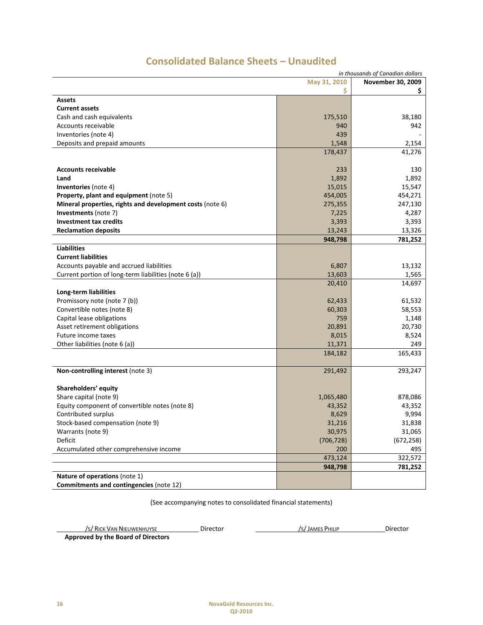| in thousands of Canadian dollars                          |                   |            |  |  |
|-----------------------------------------------------------|-------------------|------------|--|--|
|                                                           | November 30, 2009 |            |  |  |
|                                                           | \$                | Ş.         |  |  |
| <b>Assets</b>                                             |                   |            |  |  |
| <b>Current assets</b>                                     |                   |            |  |  |
| Cash and cash equivalents                                 | 175,510           | 38,180     |  |  |
| Accounts receivable                                       | 940               | 942        |  |  |
| Inventories (note 4)                                      | 439               |            |  |  |
| Deposits and prepaid amounts                              | 1,548             | 2,154      |  |  |
|                                                           | 178,437           | 41,276     |  |  |
|                                                           |                   |            |  |  |
| <b>Accounts receivable</b>                                | 233               | 130        |  |  |
| Land                                                      | 1,892             | 1,892      |  |  |
| <b>Inventories</b> (note 4)                               | 15,015            | 15,547     |  |  |
| Property, plant and equipment (note 5)                    | 454,005           | 454,271    |  |  |
| Mineral properties, rights and development costs (note 6) | 275,355           | 247,130    |  |  |
| Investments (note 7)                                      | 7,225             | 4,287      |  |  |
| <b>Investment tax credits</b>                             | 3,393             | 3,393      |  |  |
| <b>Reclamation deposits</b>                               | 13,243            | 13,326     |  |  |
|                                                           | 948,798           | 781,252    |  |  |
| <b>Liabilities</b>                                        |                   |            |  |  |
| <b>Current liabilities</b>                                |                   |            |  |  |
| Accounts payable and accrued liabilities                  | 6,807             | 13,132     |  |  |
| Current portion of long-term liabilities (note 6 (a))     | 13,603            | 1,565      |  |  |
|                                                           | 20,410            | 14,697     |  |  |
| Long-term liabilities                                     |                   |            |  |  |
| Promissory note (note 7 (b))                              | 62,433            | 61,532     |  |  |
| Convertible notes (note 8)                                | 60,303            | 58,553     |  |  |
| Capital lease obligations                                 | 759               | 1,148      |  |  |
| Asset retirement obligations                              | 20,891            | 20,730     |  |  |
| Future income taxes                                       | 8,015             | 8,524      |  |  |
| Other liabilities (note 6 (a))                            | 11,371            | 249        |  |  |
|                                                           | 184,182           | 165,433    |  |  |
|                                                           |                   |            |  |  |
| Non-controlling interest (note 3)                         | 291,492           | 293,247    |  |  |
|                                                           |                   |            |  |  |
| Shareholders' equity                                      |                   |            |  |  |
| Share capital (note 9)                                    | 1,065,480         | 878,086    |  |  |
| Equity component of convertible notes (note 8)            | 43,352            | 43,352     |  |  |
| Contributed surplus                                       | 8,629             | 9,994      |  |  |
| Stock-based compensation (note 9)                         | 31,216            | 31,838     |  |  |
| Warrants (note 9)                                         | 30,975            | 31,065     |  |  |
| Deficit                                                   | (706, 728)        | (672, 258) |  |  |
| Accumulated other comprehensive income                    | 200               | 495        |  |  |
|                                                           | 473,124           | 322,572    |  |  |
|                                                           | 948,798           | 781,252    |  |  |
| Nature of operations (note 1)                             |                   |            |  |  |
| Commitments and contingencies (note 12)                   |                   |            |  |  |

# **Consolidated Balance Sheets – Unaudited**

(See accompanying notes to consolidated financial statements)

/S/ RICK VAN NIEUWENHUYSE Director /S/JAMES PHILIP Director

 **Approved by the Board of Directors**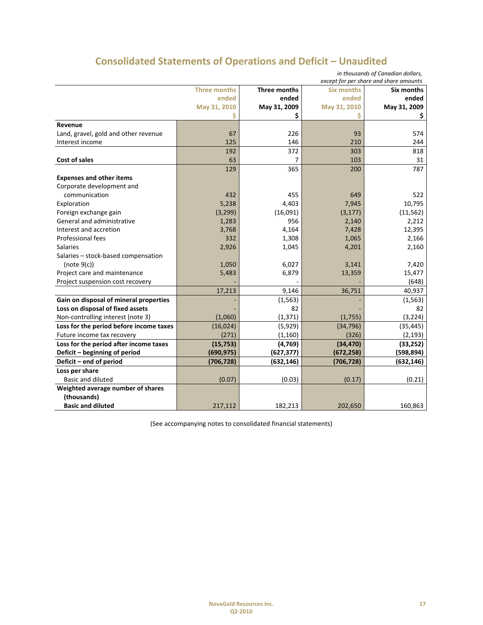# **Consolidated Statements of Operations and Deficit – Unaudited**

| in thousands of Canadian dollars,<br>except for per share and share amounts |              |                |              |                     |  |
|-----------------------------------------------------------------------------|--------------|----------------|--------------|---------------------|--|
| <b>Three months</b><br><b>Three months</b><br><b>Six months</b>             |              |                |              |                     |  |
|                                                                             | ended        | ended          | ended        | Six months<br>ended |  |
|                                                                             | May 31, 2010 | May 31, 2009   | May 31, 2010 | May 31, 2009        |  |
|                                                                             | S            | \$             |              | Ş                   |  |
| Revenue                                                                     |              |                |              |                     |  |
| Land, gravel, gold and other revenue                                        | 67           | 226            | 93           | 574                 |  |
| Interest income                                                             | 125          | 146            | 210          | 244                 |  |
|                                                                             | 192          | 372            | 303          | 818                 |  |
| Cost of sales                                                               | 63           | $\overline{7}$ | 103          | 31                  |  |
|                                                                             | 129          | 365            | 200          | 787                 |  |
| <b>Expenses and other items</b>                                             |              |                |              |                     |  |
| Corporate development and                                                   |              |                |              |                     |  |
| communication                                                               | 432          | 455            | 649          | 522                 |  |
| Exploration                                                                 | 5,238        | 4,403          | 7,945        | 10,795              |  |
| Foreign exchange gain                                                       | (3, 299)     | (16,091)       | (3, 177)     | (11, 562)           |  |
| General and administrative                                                  | 1,283        | 956            | 2,140        | 2,212               |  |
| Interest and accretion                                                      | 3,768        | 4,164          | 7,428        | 12,395              |  |
| Professional fees                                                           | 332          | 1,308          | 1,065        | 2,166               |  |
| <b>Salaries</b>                                                             | 2,926        | 1,045          | 4,201        | 2,160               |  |
| Salaries - stock-based compensation                                         |              |                |              |                     |  |
| (note 9(c))                                                                 | 1,050        | 6,027          | 3,141        | 7,420               |  |
| Project care and maintenance                                                | 5,483        | 6,879          | 13,359       | 15,477              |  |
| Project suspension cost recovery                                            |              |                |              | (648)               |  |
|                                                                             | 17,213       | 9,146          | 36,751       | 40,937              |  |
| Gain on disposal of mineral properties                                      |              | (1, 563)       |              | (1, 563)            |  |
| Loss on disposal of fixed assets                                            |              | 82             |              | 82                  |  |
| Non-controlling interest (note 3)                                           | (1,060)      | (1, 371)       | (1,755)      | (3, 224)            |  |
| Loss for the period before income taxes                                     | (16,024)     | (5,929)        | (34, 796)    | (35, 445)           |  |
| Future income tax recovery                                                  | (271)        | (1, 160)       | (326)        | (2, 193)            |  |
| Loss for the period after income taxes                                      | (15, 753)    | (4, 769)       | (34, 470)    | (33, 252)           |  |
| Deficit - beginning of period                                               | (690, 975)   | (627, 377)     | (672, 258)   | (598, 894)          |  |
| Deficit - end of period                                                     | (706, 728)   | (632, 146)     | (706, 728)   | (632, 146)          |  |
| Loss per share                                                              |              |                |              |                     |  |
| <b>Basic and diluted</b>                                                    | (0.07)       | (0.03)         | (0.17)       | (0.21)              |  |
| Weighted average number of shares                                           |              |                |              |                     |  |
| (thousands)                                                                 |              |                |              |                     |  |
| <b>Basic and diluted</b>                                                    | 217,112      | 182,213        | 202,650      | 160,863             |  |

(See accompanying notes to consolidated financial statements)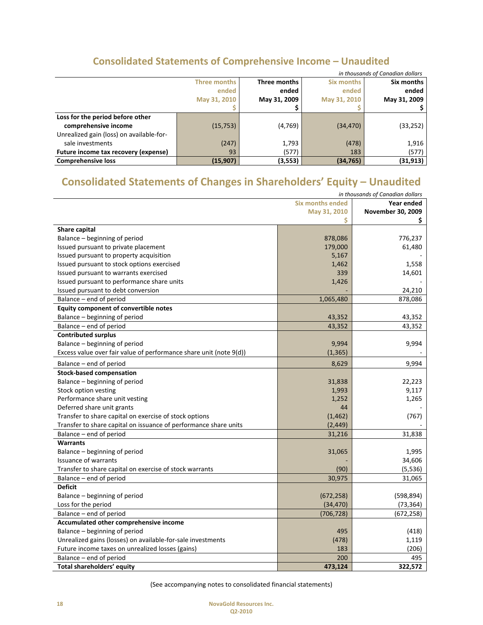# **Consolidated Statements of Comprehensive Income – Unaudited**

| in thousands of Canadian dollars         |              |              |                   |              |  |
|------------------------------------------|--------------|--------------|-------------------|--------------|--|
|                                          | Three months | Three months | <b>Six months</b> | Six months   |  |
|                                          | ended        | ended        | ended             | ended        |  |
|                                          | May 31, 2010 | May 31, 2009 | May 31, 2010      | May 31, 2009 |  |
|                                          |              |              |                   |              |  |
| Loss for the period before other         |              |              |                   |              |  |
| comprehensive income                     | (15, 753)    | (4,769)      | (34, 470)         | (33, 252)    |  |
| Unrealized gain (loss) on available-for- |              |              |                   |              |  |
| sale investments                         | (247)        | 1,793        | (478)             | 1,916        |  |
| Future income tax recovery (expense)     | 93           | (577)        | 183               | (577)        |  |
| <b>Comprehensive loss</b>                | (15, 907)    | (3,553)      | (34, 765)         | (31, 913)    |  |

# **Consolidated Statements of Changes in Shareholders' Equity – Unaudited**

| in thousands of Canadian dollars                                   |                         |                   |  |  |  |
|--------------------------------------------------------------------|-------------------------|-------------------|--|--|--|
|                                                                    | <b>Six months ended</b> | Year ended        |  |  |  |
|                                                                    | May 31, 2010            | November 30, 2009 |  |  |  |
|                                                                    | \$                      | \$.               |  |  |  |
| <b>Share capital</b>                                               |                         |                   |  |  |  |
| Balance - beginning of period                                      | 878,086                 | 776,237           |  |  |  |
| Issued pursuant to private placement                               | 179,000                 | 61,480            |  |  |  |
| Issued pursuant to property acquisition                            | 5,167                   |                   |  |  |  |
| Issued pursuant to stock options exercised                         | 1,462                   | 1,558             |  |  |  |
| Issued pursuant to warrants exercised                              | 339                     | 14,601            |  |  |  |
| Issued pursuant to performance share units                         | 1,426                   |                   |  |  |  |
| Issued pursuant to debt conversion                                 |                         | 24,210            |  |  |  |
| Balance - end of period                                            | 1,065,480               | 878,086           |  |  |  |
| Equity component of convertible notes                              |                         |                   |  |  |  |
| Balance - beginning of period                                      | 43,352                  | 43,352            |  |  |  |
| Balance - end of period                                            | 43,352                  | 43,352            |  |  |  |
| <b>Contributed surplus</b>                                         |                         |                   |  |  |  |
| Balance - beginning of period                                      | 9,994                   | 9,994             |  |  |  |
| Excess value over fair value of performance share unit (note 9(d)) | (1, 365)                |                   |  |  |  |
| Balance - end of period                                            | 8,629                   | 9,994             |  |  |  |
| <b>Stock-based compensation</b>                                    |                         |                   |  |  |  |
| Balance - beginning of period                                      | 31,838                  | 22,223            |  |  |  |
| Stock option vesting                                               | 1,993                   | 9,117             |  |  |  |
| Performance share unit vesting                                     | 1,252                   | 1,265             |  |  |  |
| Deferred share unit grants                                         | 44                      |                   |  |  |  |
| Transfer to share capital on exercise of stock options             | (1, 462)                | (767)             |  |  |  |
| Transfer to share capital on issuance of performance share units   | (2, 449)                |                   |  |  |  |
| Balance – end of period                                            | 31,216                  | 31,838            |  |  |  |
| <b>Warrants</b>                                                    |                         |                   |  |  |  |
| Balance - beginning of period                                      | 31,065                  | 1,995             |  |  |  |
| Issuance of warrants                                               |                         | 34,606            |  |  |  |
| Transfer to share capital on exercise of stock warrants            | (90)                    | (5, 536)          |  |  |  |
| Balance - end of period                                            | 30,975                  | 31,065            |  |  |  |
| <b>Deficit</b>                                                     |                         |                   |  |  |  |
| Balance – beginning of period                                      | (672, 258)              | (598, 894)        |  |  |  |
| Loss for the period                                                | (34, 470)               | (73, 364)         |  |  |  |
| Balance - end of period                                            | (706, 728)              | (672, 258)        |  |  |  |
| Accumulated other comprehensive income                             |                         |                   |  |  |  |
| Balance - beginning of period                                      | 495                     | (418)             |  |  |  |
| Unrealized gains (losses) on available-for-sale investments        | (478)                   | 1,119             |  |  |  |
| Future income taxes on unrealized losses (gains)                   | 183                     | (206)             |  |  |  |
| Balance - end of period                                            | 200                     | 495               |  |  |  |
| Total shareholders' equity                                         | 473,124                 | 322,572           |  |  |  |

(See accompanying notes to consolidated financial statements)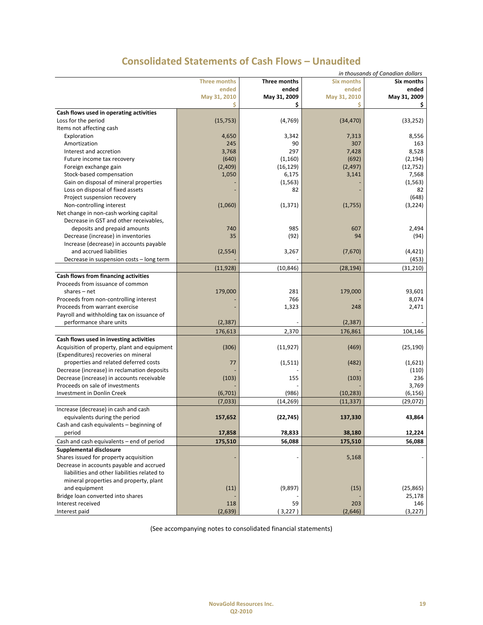| in thousands of Canadian dollars             |                     |              |                   |              |
|----------------------------------------------|---------------------|--------------|-------------------|--------------|
|                                              | <b>Three months</b> | Three months | <b>Six months</b> | Six months   |
|                                              | ended               | ended        | ended             | ended        |
|                                              | May 31, 2010        | May 31, 2009 | May 31, 2010      | May 31, 2009 |
|                                              | Ś                   | \$           | Ś                 | Ş            |
| Cash flows used in operating activities      |                     |              |                   |              |
| Loss for the period                          | (15, 753)           | (4, 769)     | (34, 470)         | (33, 252)    |
| Items not affecting cash                     |                     |              |                   |              |
| Exploration                                  | 4,650               | 3,342        | 7,313             | 8,556        |
| Amortization                                 | 245                 | 90           | 307               | 163          |
| Interest and accretion                       | 3,768               | 297          | 7,428             | 8,528        |
| Future income tax recovery                   | (640)               | (1, 160)     | (692)             | (2, 194)     |
| Foreign exchange gain                        | (2,409)             | (16, 129)    | (2, 497)          | (12, 752)    |
| Stock-based compensation                     | 1,050               | 6,175        | 3,141             | 7,568        |
| Gain on disposal of mineral properties       |                     | (1, 563)     |                   | (1, 563)     |
| Loss on disposal of fixed assets             |                     | 82           |                   | 82           |
| Project suspension recovery                  |                     |              |                   | (648)        |
| Non-controlling interest                     | (1,060)             | (1, 371)     | (1,755)           | (3, 224)     |
| Net change in non-cash working capital       |                     |              |                   |              |
| Decrease in GST and other receivables,       |                     |              |                   |              |
| deposits and prepaid amounts                 | 740                 | 985          | 607               | 2,494        |
| Decrease (increase) in inventories           | 35                  | (92)         | 94                | (94)         |
| Increase (decrease) in accounts payable      |                     |              |                   |              |
| and accrued liabilities                      | (2, 554)            | 3,267        | (7,670)           | (4, 421)     |
| Decrease in suspension costs - long term     |                     |              |                   | (453)        |
|                                              | (11, 928)           | (10, 846)    | (28, 194)         | (31, 210)    |
| Cash flows from financing activities         |                     |              |                   |              |
| Proceeds from issuance of common             |                     |              |                   |              |
| shares $-$ net                               | 179,000             | 281          | 179,000           | 93,601       |
| Proceeds from non-controlling interest       |                     | 766          |                   | 8,074        |
| Proceeds from warrant exercise               |                     | 1,323        | 248               | 2,471        |
| Payroll and withholding tax on issuance of   |                     |              |                   |              |
| performance share units                      | (2, 387)            |              | (2, 387)          |              |
|                                              | 176,613             | 2,370        | 176,861           | 104,146      |
| Cash flows used in investing activities      |                     |              |                   |              |
| Acquisition of property, plant and equipment | (306)               | (11, 927)    | (469)             | (25, 190)    |
| (Expenditures) recoveries on mineral         |                     |              |                   |              |
| properties and related deferred costs        | 77                  | (1, 511)     | (482)             | (1,621)      |
| Decrease (increase) in reclamation deposits  |                     |              |                   | (110)        |
| Decrease (increase) in accounts receivable   | (103)               | 155          | (103)             | 236          |
| Proceeds on sale of investments              |                     |              |                   | 3,769        |
| Investment in Donlin Creek                   | (6,701)             | (986)        | (10, 283)         | (6, 156)     |
|                                              | (7,033)             | (14, 269)    | (11, 337)         | (29,072)     |
| Increase (decrease) in cash and cash         |                     |              |                   |              |
| equivalents during the period                | 157,652             | (22, 745)    | 137,330           | 43,864       |
| Cash and cash equivalents - beginning of     |                     |              |                   |              |
| period                                       | 17,858              | 78,833       | 38,180            | 12,224       |
| Cash and cash equivalents – end of period    | 175,510             | 56,088       | 175,510           | 56,088       |
| Supplemental disclosure                      |                     |              |                   |              |
| Shares issued for property acquisition       |                     |              | 5,168             |              |
| Decrease in accounts payable and accrued     |                     |              |                   |              |
| liabilities and other liabilities related to |                     |              |                   |              |
| mineral properties and property, plant       |                     |              |                   |              |
| and equipment                                | (11)                | (9,897)      | (15)              | (25, 865)    |
| Bridge loan converted into shares            |                     |              |                   | 25,178       |
| Interest received                            | 118                 | 59           | 203               | 146          |
| Interest paid                                | (2,639)             | (3,227)      | (2,646)           | (3, 227)     |
|                                              |                     |              |                   |              |

(See accompanying notes to consolidated financial statements)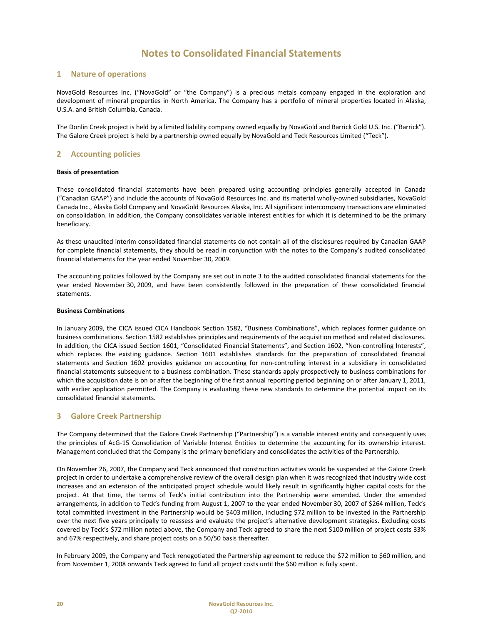#### **1 Nature of operations**

NovaGold Resources Inc. ("NovaGold" or "the Company") is a precious metals company engaged in the exploration and development of mineral properties in North America. The Company has a portfolio of mineral properties located in Alaska, U.S.A. and British Columbia, Canada.

The Donlin Creek project is held by a limited liability company owned equally by NovaGold and Barrick Gold U.S. Inc. ("Barrick"). The Galore Creek project is held by a partnership owned equally by NovaGold and Teck Resources Limited ("Teck").

#### **2 Accounting policies**

#### **Basis of presentation**

These consolidated financial statements have been prepared using accounting principles generally accepted in Canada ("Canadian GAAP") and include the accounts of NovaGold Resources Inc. and its material wholly‐owned subsidiaries, NovaGold Canada Inc., Alaska Gold Company and NovaGold Resources Alaska, Inc. All significant intercompany transactions are eliminated on consolidation. In addition, the Company consolidates variable interest entities for which it is determined to be the primary beneficiary.

As these unaudited interim consolidated financial statements do not contain all of the disclosures required by Canadian GAAP for complete financial statements, they should be read in conjunction with the notes to the Company's audited consolidated financial statements for the year ended November 30, 2009.

The accounting policies followed by the Company are set out in note 3 to the audited consolidated financial statements for the year ended November 30, 2009, and have been consistently followed in the preparation of these consolidated financial statements.

#### **Business Combinations**

In January 2009, the CICA issued CICA Handbook Section 1582, "Business Combinations", which replaces former guidance on business combinations. Section 1582 establishes principles and requirements of the acquisition method and related disclosures. In addition, the CICA issued Section 1601, "Consolidated Financial Statements", and Section 1602, "Non-controlling Interests", which replaces the existing guidance. Section 1601 establishes standards for the preparation of consolidated financial statements and Section 1602 provides guidance on accounting for non‐controlling interest in a subsidiary in consolidated financial statements subsequent to a business combination. These standards apply prospectively to business combinations for which the acquisition date is on or after the beginning of the first annual reporting period beginning on or after January 1, 2011, with earlier application permitted. The Company is evaluating these new standards to determine the potential impact on its consolidated financial statements.

#### **3 Galore Creek Partnership**

The Company determined that the Galore Creek Partnership ("Partnership") is a variable interest entity and consequently uses the principles of AcG‐15 Consolidation of Variable Interest Entities to determine the accounting for its ownership interest. Management concluded that the Company is the primary beneficiary and consolidates the activities of the Partnership.

On November 26, 2007, the Company and Teck announced that construction activities would be suspended at the Galore Creek project in order to undertake a comprehensive review of the overall design plan when it was recognized that industry wide cost increases and an extension of the anticipated project schedule would likely result in significantly higher capital costs for the project. At that time, the terms of Teck's initial contribution into the Partnership were amended. Under the amended arrangements, in addition to Teck's funding from August 1, 2007 to the year ended November 30, 2007 of \$264 million, Teck's total committed investment in the Partnership would be \$403 million, including \$72 million to be invested in the Partnership over the next five years principally to reassess and evaluate the project's alternative development strategies. Excluding costs covered by Teck's \$72 million noted above, the Company and Teck agreed to share the next \$100 million of project costs 33% and 67% respectively, and share project costs on a 50/50 basis thereafter.

In February 2009, the Company and Teck renegotiated the Partnership agreement to reduce the \$72 million to \$60 million, and from November 1, 2008 onwards Teck agreed to fund all project costs until the \$60 million is fully spent.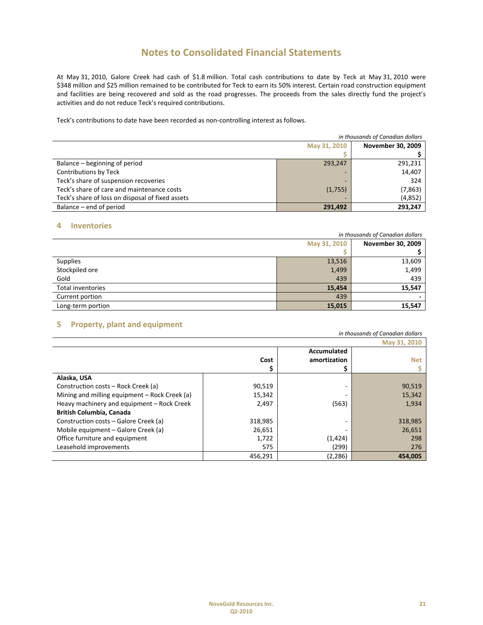At May 31, 2010, Galore Creek had cash of \$1.8 million. Total cash contributions to date by Teck at May 31, 2010 were \$348 million and \$25 million remained to be contributed for Teck to earn its 50% interest. Certain road construction equipment and facilities are being recovered and sold as the road progresses. The proceeds from the sales directly fund the project's activities and do not reduce Teck's required contributions.

Teck's contributions to date have been recorded as non‐controlling interest as follows.

|                                                  | in thousands of Canadian dollars |                          |  |  |  |  |
|--------------------------------------------------|----------------------------------|--------------------------|--|--|--|--|
|                                                  | May 31, 2010                     | <b>November 30, 2009</b> |  |  |  |  |
|                                                  |                                  |                          |  |  |  |  |
| Balance – beginning of period                    | 293,247                          | 291,231                  |  |  |  |  |
| Contributions by Teck                            | -                                | 14,407                   |  |  |  |  |
| Teck's share of suspension recoveries            | -                                | 324                      |  |  |  |  |
| Teck's share of care and maintenance costs       | (1,755)                          | (7, 863)                 |  |  |  |  |
| Teck's share of loss on disposal of fixed assets |                                  | (4,852)                  |  |  |  |  |
| Balance – end of period                          | 291.492                          | 293,247                  |  |  |  |  |

#### **4 Inventories**

|                   | in thousands of Canadian dollars |        |  |  |  |  |  |
|-------------------|----------------------------------|--------|--|--|--|--|--|
|                   | November 30, 2009                |        |  |  |  |  |  |
|                   |                                  |        |  |  |  |  |  |
| <b>Supplies</b>   | 13,516                           | 13,609 |  |  |  |  |  |
| Stockpiled ore    | 1,499                            | 1,499  |  |  |  |  |  |
| Gold              | 439                              | 439    |  |  |  |  |  |
| Total inventories | 15,454                           | 15,547 |  |  |  |  |  |
| Current portion   | 439                              |        |  |  |  |  |  |
| Long-term portion | 15,015                           | 15,547 |  |  |  |  |  |

### **5 Property, plant and equipment**

| in thousands of Canadian dollars              |           |                             |         |  |  |  |  |  |  |
|-----------------------------------------------|-----------|-----------------------------|---------|--|--|--|--|--|--|
|                                               |           | May 31, 2010                |         |  |  |  |  |  |  |
|                                               | Cost<br>S | Accumulated<br>amortization | Net     |  |  |  |  |  |  |
| Alaska, USA                                   |           |                             |         |  |  |  |  |  |  |
| Construction costs – Rock Creek (a)           | 90,519    |                             | 90,519  |  |  |  |  |  |  |
| Mining and milling equipment - Rock Creek (a) | 15,342    |                             | 15,342  |  |  |  |  |  |  |
| Heavy machinery and equipment - Rock Creek    | 2,497     | (563)                       | 1,934   |  |  |  |  |  |  |
| <b>British Columbia, Canada</b>               |           |                             |         |  |  |  |  |  |  |
| Construction costs – Galore Creek (a)         | 318,985   |                             | 318,985 |  |  |  |  |  |  |
| Mobile equipment - Galore Creek (a)           | 26,651    |                             | 26,651  |  |  |  |  |  |  |
| Office furniture and equipment                | 1,722     | (1, 424)                    | 298     |  |  |  |  |  |  |
| Leasehold improvements                        | 575       | (299)                       | 276     |  |  |  |  |  |  |
|                                               | 456,291   | (2, 286)                    | 454.005 |  |  |  |  |  |  |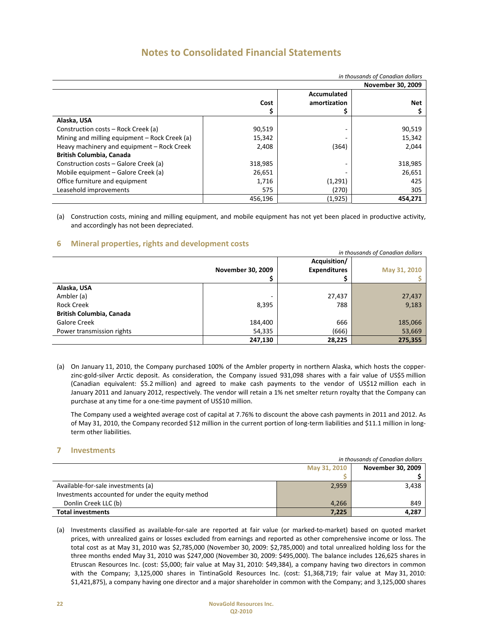| in thousands of Canadian dollars              |                          |              |            |  |  |  |  |  |  |  |
|-----------------------------------------------|--------------------------|--------------|------------|--|--|--|--|--|--|--|
|                                               | <b>November 30, 2009</b> |              |            |  |  |  |  |  |  |  |
|                                               |                          | Accumulated  |            |  |  |  |  |  |  |  |
|                                               | Cost                     | amortization | <b>Net</b> |  |  |  |  |  |  |  |
|                                               |                          |              |            |  |  |  |  |  |  |  |
| Alaska, USA                                   |                          |              |            |  |  |  |  |  |  |  |
| Construction costs – Rock Creek (a)           | 90,519                   |              | 90,519     |  |  |  |  |  |  |  |
| Mining and milling equipment - Rock Creek (a) | 15,342                   |              | 15,342     |  |  |  |  |  |  |  |
| Heavy machinery and equipment - Rock Creek    | 2,408                    | (364)        | 2,044      |  |  |  |  |  |  |  |
| <b>British Columbia, Canada</b>               |                          |              |            |  |  |  |  |  |  |  |
| Construction costs – Galore Creek (a)         | 318,985                  |              | 318,985    |  |  |  |  |  |  |  |
| Mobile equipment – Galore Creek (a)           | 26,651                   |              | 26,651     |  |  |  |  |  |  |  |
| Office furniture and equipment                | 1,716                    | (1,291)      | 425        |  |  |  |  |  |  |  |
| Leasehold improvements                        | 575                      | (270)        | 305        |  |  |  |  |  |  |  |
|                                               | 456,196                  | (1,925)      | 454.271    |  |  |  |  |  |  |  |

(a) Construction costs, mining and milling equipment, and mobile equipment has not yet been placed in productive activity, and accordingly has not been depreciated.

#### **6 Mineral properties, rights and development costs**

|                                 | in thousands of Canadian dollars |                     |              |  |  |  |  |  |  |
|---------------------------------|----------------------------------|---------------------|--------------|--|--|--|--|--|--|
|                                 |                                  | Acquisition/        |              |  |  |  |  |  |  |
|                                 | <b>November 30, 2009</b>         | <b>Expenditures</b> | May 31, 2010 |  |  |  |  |  |  |
|                                 |                                  |                     |              |  |  |  |  |  |  |
| Alaska, USA                     |                                  |                     |              |  |  |  |  |  |  |
| Ambler (a)                      |                                  | 27,437              | 27,437       |  |  |  |  |  |  |
| <b>Rock Creek</b>               | 8,395                            | 788                 | 9,183        |  |  |  |  |  |  |
| <b>British Columbia, Canada</b> |                                  |                     |              |  |  |  |  |  |  |
| Galore Creek                    | 184,400                          | 666                 | 185,066      |  |  |  |  |  |  |
| Power transmission rights       | 54,335                           | (666)               | 53,669       |  |  |  |  |  |  |
|                                 | 247,130                          | 28,225              | 275,355      |  |  |  |  |  |  |

(a) On January 11, 2010, the Company purchased 100% of the Ambler property in northern Alaska, which hosts the copper‐ zinc-gold-silver Arctic deposit. As consideration, the Company issued 931,098 shares with a fair value of US\$5 million (Canadian equivalent: \$5.2 million) and agreed to make cash payments to the vendor of US\$12 million each in January 2011 and January 2012, respectively. The vendor will retain a 1% net smelter return royalty that the Company can purchase at any time for a one‐time payment of US\$10 million.

The Company used a weighted average cost of capital at 7.76% to discount the above cash payments in 2011 and 2012. As of May 31, 2010, the Company recorded \$12 million in the current portion of long-term liabilities and \$11.1 million in longterm other liabilities.

#### **7 Investments**

|                                                   | in thousands of Canadian dollars |                          |  |  |  |  |  |  |
|---------------------------------------------------|----------------------------------|--------------------------|--|--|--|--|--|--|
|                                                   | May 31, 2010                     | <b>November 30, 2009</b> |  |  |  |  |  |  |
|                                                   |                                  |                          |  |  |  |  |  |  |
| Available-for-sale investments (a)                | 2,959                            | 3,438                    |  |  |  |  |  |  |
| Investments accounted for under the equity method |                                  |                          |  |  |  |  |  |  |
| Donlin Creek LLC (b)                              | 4.266                            | 849                      |  |  |  |  |  |  |
| <b>Total investments</b>                          | 7,225                            | 4,287                    |  |  |  |  |  |  |

(a) Investments classified as available‐for‐sale are reported at fair value (or marked‐to‐market) based on quoted market prices, with unrealized gains or losses excluded from earnings and reported as other comprehensive income or loss. The total cost as at May 31, 2010 was \$2,785,000 (November 30, 2009: \$2,785,000) and total unrealized holding loss for the three months ended May 31, 2010 was \$247,000 (November 30, 2009: \$495,000). The balance includes 126,625 shares in Etruscan Resources Inc. (cost: \$5,000; fair value at May 31, 2010: \$49,384), a company having two directors in common with the Company; 3,125,000 shares in TintinaGold Resources Inc. (cost: \$1,368,719; fair value at May 31, 2010: \$1,421,875), a company having one director and a major shareholder in common with the Company; and 3,125,000 shares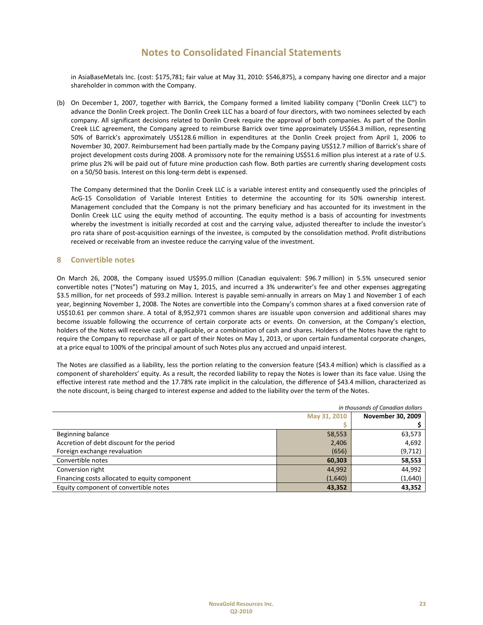in AsiaBaseMetals Inc. (cost: \$175,781; fair value at May 31, 2010: \$546,875), a company having one director and a major shareholder in common with the Company.

(b) On December 1, 2007, together with Barrick, the Company formed a limited liability company ("Donlin Creek LLC") to advance the Donlin Creek project. The Donlin Creek LLC has a board of four directors, with two nominees selected by each company. All significant decisions related to Donlin Creek require the approval of both companies. As part of the Donlin Creek LLC agreement, the Company agreed to reimburse Barrick over time approximately US\$64.3 million, representing 50% of Barrick's approximately US\$128.6 million in expenditures at the Donlin Creek project from April 1, 2006 to November 30, 2007. Reimbursement had been partially made by the Company paying US\$12.7 million of Barrick's share of project development costs during 2008. A promissory note for the remaining US\$51.6 million plus interest at a rate of U.S. prime plus 2% will be paid out of future mine production cash flow. Both parties are currently sharing development costs on a 50/50 basis. Interest on this long‐term debt is expensed.

The Company determined that the Donlin Creek LLC is a variable interest entity and consequently used the principles of AcG‐15 Consolidation of Variable Interest Entities to determine the accounting for its 50% ownership interest. Management concluded that the Company is not the primary beneficiary and has accounted for its investment in the Donlin Creek LLC using the equity method of accounting. The equity method is a basis of accounting for investments whereby the investment is initially recorded at cost and the carrying value, adjusted thereafter to include the investor's pro rata share of post-acquisition earnings of the investee, is computed by the consolidation method. Profit distributions received or receivable from an investee reduce the carrying value of the investment.

#### **8 Convertible notes**

On March 26, 2008, the Company issued US\$95.0 million (Canadian equivalent: \$96.7 million) in 5.5% unsecured senior convertible notes ("Notes") maturing on May 1, 2015, and incurred a 3% underwriter's fee and other expenses aggregating \$3.5 million, for net proceeds of \$93.2 million. Interest is payable semi‐annually in arrears on May 1 and November 1 of each year, beginning November 1, 2008. The Notes are convertible into the Company's common shares at a fixed conversion rate of US\$10.61 per common share. A total of 8,952,971 common shares are issuable upon conversion and additional shares may become issuable following the occurrence of certain corporate acts or events. On conversion, at the Company's election, holders of the Notes will receive cash, if applicable, or a combination of cash and shares. Holders of the Notes have the right to require the Company to repurchase all or part of their Notes on May 1, 2013, or upon certain fundamental corporate changes, at a price equal to 100% of the principal amount of such Notes plus any accrued and unpaid interest.

The Notes are classified as a liability, less the portion relating to the conversion feature (\$43.4 million) which is classified as a component of shareholders' equity. As a result, the recorded liability to repay the Notes is lower than its face value. Using the effective interest rate method and the 17.78% rate implicit in the calculation, the difference of \$43.4 million, characterized as the note discount, is being charged to interest expense and added to the liability over the term of the Notes.

|                                               | in thousands of Canadian dollars |                          |  |  |  |  |
|-----------------------------------------------|----------------------------------|--------------------------|--|--|--|--|
|                                               | May 31, 2010                     | <b>November 30, 2009</b> |  |  |  |  |
|                                               |                                  |                          |  |  |  |  |
| Beginning balance                             | 58,553                           | 63,573                   |  |  |  |  |
| Accretion of debt discount for the period     | 2,406                            | 4,692                    |  |  |  |  |
| Foreign exchange revaluation                  | (656)                            | (9,712)                  |  |  |  |  |
| Convertible notes                             | 60,303                           | 58,553                   |  |  |  |  |
| Conversion right                              | 44,992                           | 44,992                   |  |  |  |  |
| Financing costs allocated to equity component | (1,640)                          | (1,640)                  |  |  |  |  |
| Equity component of convertible notes         | 43,352                           | 43,352                   |  |  |  |  |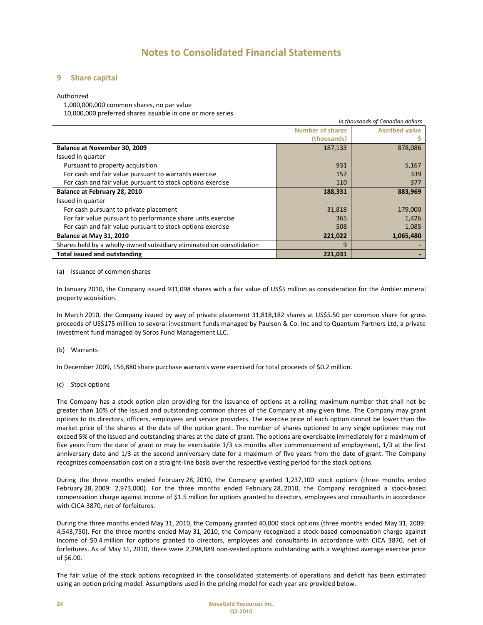#### **9 Share capital**

#### Authorized

1,000,000,000 common shares, no par value

10,000,000 preferred shares issuable in one or more series

|                                                                      |                         | in thousands of Canadian dollars |
|----------------------------------------------------------------------|-------------------------|----------------------------------|
|                                                                      | <b>Number of shares</b> | <b>Ascribed value</b>            |
|                                                                      | (thousands)             |                                  |
| Balance at November 30, 2009                                         | 187,133                 | 878,086                          |
| Issued in quarter                                                    |                         |                                  |
| Pursuant to property acquisition                                     | 931                     | 5,167                            |
| For cash and fair value pursuant to warrants exercise                | 157                     | 339                              |
| For cash and fair value pursuant to stock options exercise           | 110                     | 377                              |
| Balance at February 28, 2010                                         | 188,331                 | 883,969                          |
| Issued in quarter                                                    |                         |                                  |
| For cash pursuant to private placement                               | 31,818                  | 179,000                          |
| For fair value pursuant to performance share units exercise          | 365                     | 1,426                            |
| For cash and fair value pursuant to stock options exercise           | 508                     | 1,085                            |
| Balance at May 31, 2010                                              | 221,022                 | 1,065,480                        |
| Shares held by a wholly-owned subsidiary eliminated on consolidation | 9                       |                                  |
| <b>Total issued and outstanding</b>                                  | 221,031                 |                                  |

#### (a) Issuance of common shares

In January 2010, the Company issued 931,098 shares with a fair value of US\$5 million as consideration for the Ambler mineral property acquisition.

In March 2010, the Company issued by way of private placement 31,818,182 shares at US\$5.50 per common share for gross proceeds of US\$175 million to several investment funds managed by Paulson & Co. Inc and to Quantum Partners Ltd, a private investment fund managed by Soros Fund Management LLC.

#### (b) Warrants

In December 2009, 156,880 share purchase warrants were exercised for total proceeds of \$0.2 million.

#### (c) Stock options

The Company has a stock option plan providing for the issuance of options at a rolling maximum number that shall not be greater than 10% of the issued and outstanding common shares of the Company at any given time. The Company may grant options to its directors, officers, employees and service providers. The exercise price of each option cannot be lower than the market price of the shares at the date of the option grant. The number of shares optioned to any single optionee may not exceed 5% of the issued and outstanding shares at the date of grant. The options are exercisable immediately for a maximum of five years from the date of grant or may be exercisable 1/3 six months after commencement of employment, 1/3 at the first anniversary date and 1/3 at the second anniversary date for a maximum of five years from the date of grant. The Company recognizes compensation cost on a straight‐line basis over the respective vesting period for the stock options.

During the three months ended February 28, 2010, the Company granted 1,237,100 stock options (three months ended February 28, 2009: 2,973,000). For the three months ended February 28, 2010, the Company recognized a stock‐based compensation charge against income of \$1.5 million for options granted to directors, employees and consultants in accordance with CICA 3870, net of forfeitures.

During the three months ended May 31, 2010, the Company granted 40,000 stock options (three months ended May 31, 2009: 4,543,750). For the three months ended May 31, 2010, the Company recognized a stock‐based compensation charge against income of \$0.4 million for options granted to directors, employees and consultants in accordance with CICA 3870, net of forfeitures. As of May 31, 2010, there were 2,298,889 non-vested options outstanding with a weighted average exercise price of \$6.00.

The fair value of the stock options recognized in the consolidated statements of operations and deficit has been estimated using an option pricing model. Assumptions used in the pricing model for each year are provided below.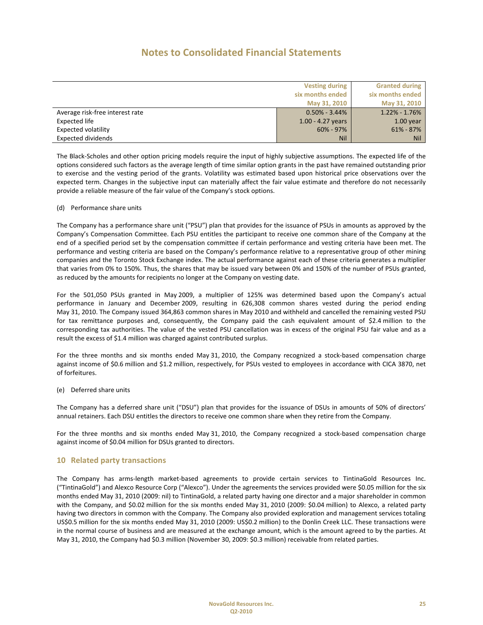|                                 | <b>Vesting during</b> | <b>Granted during</b> |
|---------------------------------|-----------------------|-----------------------|
|                                 | six months ended      | six months ended      |
|                                 | May 31, 2010          | May 31, 2010          |
| Average risk-free interest rate | $0.50\% - 3.44\%$     | $1.22\% - 1.76\%$     |
| Expected life                   | $1.00 - 4.27$ years   | $1.00$ year           |
| Expected volatility             | $60\% - 97\%$         | $61\% - 87\%$         |
| <b>Expected dividends</b>       | <b>Nil</b>            | <b>Nil</b>            |

The Black‐Scholes and other option pricing models require the input of highly subjective assumptions. The expected life of the options considered such factors as the average length of time similar option grants in the past have remained outstanding prior to exercise and the vesting period of the grants. Volatility was estimated based upon historical price observations over the expected term. Changes in the subjective input can materially affect the fair value estimate and therefore do not necessarily provide a reliable measure of the fair value of the Company's stock options.

#### (d) Performance share units

The Company has a performance share unit ("PSU") plan that provides for the issuance of PSUs in amounts as approved by the Company's Compensation Committee. Each PSU entitles the participant to receive one common share of the Company at the end of a specified period set by the compensation committee if certain performance and vesting criteria have been met. The performance and vesting criteria are based on the Company's performance relative to a representative group of other mining companies and the Toronto Stock Exchange index. The actual performance against each of these criteria generates a multiplier that varies from 0% to 150%. Thus, the shares that may be issued vary between 0% and 150% of the number of PSUs granted, as reduced by the amounts for recipients no longer at the Company on vesting date.

For the 501,050 PSUs granted in May 2009, a multiplier of 125% was determined based upon the Company's actual performance in January and December 2009, resulting in 626,308 common shares vested during the period ending May 31, 2010. The Company issued 364,863 common shares in May 2010 and withheld and cancelled the remaining vested PSU for tax remittance purposes and, consequently, the Company paid the cash equivalent amount of \$2.4 million to the corresponding tax authorities. The value of the vested PSU cancellation was in excess of the original PSU fair value and as a result the excess of \$1.4 million was charged against contributed surplus.

For the three months and six months ended May 31, 2010, the Company recognized a stock-based compensation charge against income of \$0.6 million and \$1.2 million, respectively, for PSUs vested to employees in accordance with CICA 3870, net of forfeitures.

#### (e) Deferred share units

The Company has a deferred share unit ("DSU") plan that provides for the issuance of DSUs in amounts of 50% of directors' annual retainers. Each DSU entitles the directors to receive one common share when they retire from the Company.

For the three months and six months ended May 31, 2010, the Company recognized a stock‐based compensation charge against income of \$0.04 million for DSUs granted to directors.

#### **10 Related party transactions**

The Company has arms‐length market‐based agreements to provide certain services to TintinaGold Resources Inc. ("TintinaGold") and Alexco Resource Corp ("Alexco"). Under the agreements the services provided were \$0.05 million for the six months ended May 31, 2010 (2009: nil) to TintinaGold, a related party having one director and a major shareholder in common with the Company, and \$0.02 million for the six months ended May 31, 2010 (2009: \$0.04 million) to Alexco, a related party having two directors in common with the Company. The Company also provided exploration and management services totaling US\$0.5 million for the six months ended May 31, 2010 (2009: US\$0.2 million) to the Donlin Creek LLC. These transactions were in the normal course of business and are measured at the exchange amount, which is the amount agreed to by the parties. At May 31, 2010, the Company had \$0.3 million (November 30, 2009: \$0.3 million) receivable from related parties.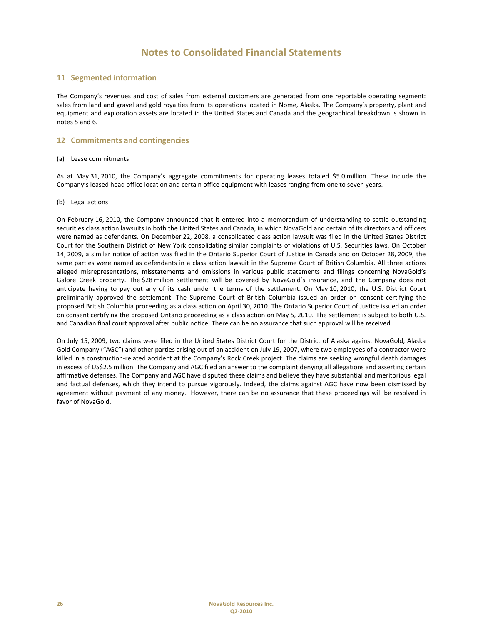### **11 Segmented information**

The Company's revenues and cost of sales from external customers are generated from one reportable operating segment: sales from land and gravel and gold royalties from its operations located in Nome, Alaska. The Company's property, plant and equipment and exploration assets are located in the United States and Canada and the geographical breakdown is shown in notes 5 and 6.

#### **12 Commitments and contingencies**

#### (a) Lease commitments

As at May 31, 2010, the Company's aggregate commitments for operating leases totaled \$5.0 million. These include the Company's leased head office location and certain office equipment with leases ranging from one to seven years.

#### (b) Legal actions

On February 16, 2010, the Company announced that it entered into a memorandum of understanding to settle outstanding securities class action lawsuits in both the United States and Canada, in which NovaGold and certain of its directors and officers were named as defendants. On December 22, 2008, a consolidated class action lawsuit was filed in the United States District Court for the Southern District of New York consolidating similar complaints of violations of U.S. Securities laws. On October 14, 2009, a similar notice of action was filed in the Ontario Superior Court of Justice in Canada and on October 28, 2009, the same parties were named as defendants in a class action lawsuit in the Supreme Court of British Columbia. All three actions alleged misrepresentations, misstatements and omissions in various public statements and filings concerning NovaGold's Galore Creek property. The \$28 million settlement will be covered by NovaGold's insurance, and the Company does not anticipate having to pay out any of its cash under the terms of the settlement. On May 10, 2010, the U.S. District Court preliminarily approved the settlement. The Supreme Court of British Columbia issued an order on consent certifying the proposed British Columbia proceeding as a class action on April 30, 2010. The Ontario Superior Court of Justice issued an order on consent certifying the proposed Ontario proceeding as a class action on May 5, 2010. The settlement is subject to both U.S. and Canadian final court approval after public notice. There can be no assurance that such approval will be received.

On July 15, 2009, two claims were filed in the United States District Court for the District of Alaska against NovaGold, Alaska Gold Company ("AGC") and other parties arising out of an accident on July 19, 2007, where two employees of a contractor were killed in a construction-related accident at the Company's Rock Creek project. The claims are seeking wrongful death damages in excess of US\$2.5 million. The Company and AGC filed an answer to the complaint denying all allegations and asserting certain affirmative defenses. The Company and AGC have disputed these claims and believe they have substantial and meritorious legal and factual defenses, which they intend to pursue vigorously. Indeed, the claims against AGC have now been dismissed by agreement without payment of any money. However, there can be no assurance that these proceedings will be resolved in favor of NovaGold.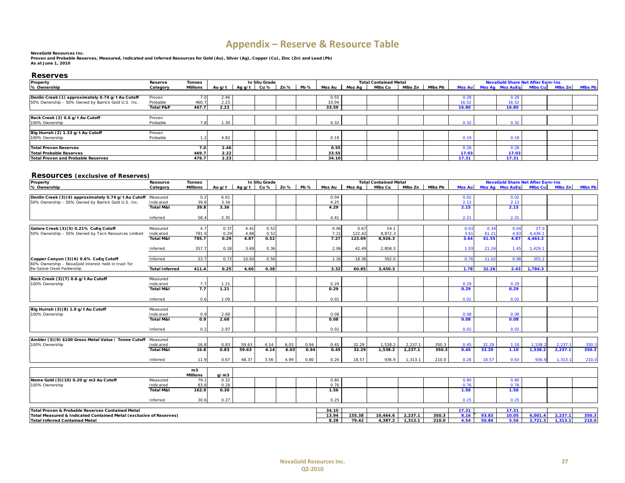# **Appendix – Reserve & Resource Table**

#### **NovaGold Resources Inc.**

 **Proven and Probable Reserves, Measured, Indicated and Inferred Resources for Gold (Au), Silver (Ag), Copper (Cu), Zinc (Zn) and Lead (Pb) As at June 1, 2010**

#### **Reserves**

| Property                                            | Reserve              | <b>Tonnes</b> |        |             | In Situ Grade |              | <b>Total Contained Metal</b> |                 |         |  |                   | <b>NovaGold Share Net After Earn-Ins</b> |  |                                |  |  |                 |  |
|-----------------------------------------------------|----------------------|---------------|--------|-------------|---------------|--------------|------------------------------|-----------------|---------|--|-------------------|------------------------------------------|--|--------------------------------|--|--|-----------------|--|
| % Ownership                                         | Category             | Millions      | Au q/t | $Aqq/t$ Cu% |               | $Zn\%$   Pb% |                              | Moz Au   Moz Ag | Mlbs Cu |  | Mibs Zn   Mibs Pb |                                          |  | Moz Au Moz Ag Moz AuEg Mibs Cu |  |  | Mibs Zn Mibs Pb |  |
|                                                     |                      |               |        |             |               |              |                              |                 |         |  |                   |                                          |  |                                |  |  |                 |  |
| Donlin Creek (1) approximately 0.74 g/t Au Cutoff   | Proven               |               | 2.46   |             |               |              | 0.55                         |                 |         |  |                   | 0.28                                     |  | 0.28                           |  |  |                 |  |
| 50% Ownership - 50% Owned by Barrick Gold U.S. Inc. | Probable             | 460.          | 2.23   |             |               |              | 33.04                        |                 |         |  |                   | 16.52                                    |  | 16.52                          |  |  |                 |  |
|                                                     | <b>Total P&amp;P</b> | 467.7         | 2.23   |             |               |              | 33.59                        |                 |         |  |                   | 16.80                                    |  | 16.80                          |  |  |                 |  |
|                                                     |                      |               |        |             |               |              |                              |                 |         |  |                   |                                          |  |                                |  |  |                 |  |
| Rock Creek (2) 0.6 g/t Au Cutoff                    | Proven               |               |        |             |               |              |                              |                 |         |  |                   |                                          |  |                                |  |  |                 |  |
| 100% Ownership                                      | Probable             |               | 1.30   |             |               |              | 0.32                         |                 |         |  |                   | 0.32                                     |  | 0.32                           |  |  |                 |  |
|                                                     |                      |               |        |             |               |              |                              |                 |         |  |                   |                                          |  |                                |  |  |                 |  |
| Big Hurrah (2) 1.33 g/t Au Cutoff                   | Proven               |               |        |             |               |              |                              |                 |         |  |                   |                                          |  |                                |  |  |                 |  |
| 100% Ownership                                      | Probable             |               | 4.82   |             |               |              | 0.19                         |                 |         |  |                   | 0.19                                     |  | 0.19                           |  |  |                 |  |
|                                                     |                      |               |        |             |               |              |                              |                 |         |  |                   |                                          |  |                                |  |  |                 |  |
| <b>Total Proven Reserves</b>                        |                      | 7.0           | 2.46   |             |               |              | 0.55                         |                 |         |  |                   | 0.28                                     |  | 0.28                           |  |  |                 |  |
| Total Probable Reserves                             |                      | 469.7         | 2.22   |             |               |              | 33.55                        |                 |         |  |                   | 17.03                                    |  | 17.03                          |  |  |                 |  |
| <b>Total Proven and Probable Reserves</b>           |                      | 476.7         | 2.23   |             |               |              | 34.10                        |                 |         |  |                   | 17.31                                    |  | 17.31                          |  |  |                 |  |
|                                                     |                      |               |        |             |               |              |                              |                 |         |  |                   |                                          |  |                                |  |  |                 |  |

#### **Resources (exclusive of Reserves)**

| Property                                                           | Resource               | <b>Tonnes</b>   |              |              | In Situ Grade |      |             |        |                  | <b>Total Contained Metal</b> |           |                | <b>NovaGold Share Net After Earn-Ins</b> |                |                        |                |         |                |  |
|--------------------------------------------------------------------|------------------------|-----------------|--------------|--------------|---------------|------|-------------|--------|------------------|------------------------------|-----------|----------------|------------------------------------------|----------------|------------------------|----------------|---------|----------------|--|
| % Ownership                                                        | Category               | <b>Millions</b> | Au $q/t$     | Ag $q/t$ Cu% |               | Zn % | <b>Pb %</b> | Moz Au | Moz Aa           | Mlbs Cu                      | Mibs Zn I | <b>MIbs Pb</b> | Moz Aul                                  |                | <b>Moz Ag Moz AuEq</b> | <b>MIbs Cu</b> | Mibs Zn | <b>MIbs Pb</b> |  |
|                                                                    |                        |                 |              |              |               |      |             |        |                  |                              |           |                |                                          |                |                        |                |         |                |  |
| Donlin Creek (3)(4) approximately 0.74 g/t Au Cutoff               | Measured               | 0.2             | 6.61         |              |               |      |             | 0.04   |                  |                              |           |                | 0.02                                     |                | 0.02                   |                |         |                |  |
| 50% Ownership - 50% Owned by Barrick Gold U.S. Inc.                | Indicated              | 39.6            | 3.34         |              |               |      |             | 4.25   |                  |                              |           |                | 2.13                                     |                | 2.13                   |                |         |                |  |
|                                                                    | <b>Total M&amp;I</b>   | 39.8            | 3.36         |              |               |      |             | 4.29   |                  |                              |           |                | 2.15                                     |                | 2.15                   |                |         |                |  |
|                                                                    |                        |                 |              |              |               |      |             |        |                  |                              |           |                |                                          |                |                        |                |         |                |  |
|                                                                    | Inferred               | 58.4            | 2.35         |              |               |      |             | 4.41   |                  |                              |           |                | 2.21                                     |                | 2.21                   |                |         |                |  |
|                                                                    |                        |                 |              |              |               |      |             |        |                  |                              |           |                |                                          |                |                        |                |         |                |  |
| Galore Creek (3)(5) 0.21% CuEq Cutoff                              | Measured               | 4.7             | 0.37         | 4.41         | 0.52          |      |             | 0.06   | 0.67             | 54.1                         |           |                | 0.03                                     | 0.34           | 0.04                   | 27.0           |         |                |  |
| 50% Ownership - 50% Owned by Teck Resources Limited                | Indicated<br>Total M&I | 781.0<br>785.7  | 0.29<br>0.29 | 4.88<br>4.87 | 0.52          |      |             | 7.21   | 122.42<br>123.09 | 8,872.3<br>8,926.3           |           |                | 3.61                                     | 61.21<br>61.55 | 4.83<br>4.87           | 4,436.1        |         |                |  |
|                                                                    |                        |                 |              |              | 0.52          |      |             | 7.27   |                  |                              |           |                | 3.64                                     |                |                        | 4,463.2        |         |                |  |
|                                                                    | Inferred               | 357.7           | 0.18         | 3.69         | 0.36          |      |             | 2.06   | 42.49            | 2,858.3                      |           |                | 1.03                                     | 21.24          | 1.45                   | 1,429.1        |         |                |  |
|                                                                    |                        |                 |              |              |               |      |             |        |                  |                              |           |                |                                          |                |                        |                |         |                |  |
| Copper Canyon (3) (6) 0.6% CuEq Cutoff                             | Inferred               | 53.7            | 0.73         | 10.60        | 0.50          |      |             | 1.26   | 18.36            | 592.0                        |           |                | 0.76                                     | 11.02          | 0.98                   | 355.2          |         |                |  |
| 60% Ownership - NovaGold interest held in trust for                |                        |                 |              |              |               |      |             |        |                  |                              |           |                |                                          |                |                        |                |         |                |  |
| the Galore Creek Partnership                                       | <b>Total Inferred</b>  | 411.4           | 0.25         | 4.60         | 0.38          |      |             | 3.32   | 60.85            | 3.450.3                      |           |                | 1.78                                     | 32.26          | 2.43                   | 1,784.3        |         |                |  |
|                                                                    |                        |                 |              |              |               |      |             |        |                  |                              |           |                |                                          |                |                        |                |         |                |  |
| Rock Creek (3)(7) 0.6 g/t Au Cutoff                                | Measured               |                 |              |              |               |      |             |        |                  |                              |           |                |                                          |                |                        |                |         |                |  |
| 100% Ownership                                                     | Indicated              | 7.7             | 1.21         |              |               |      |             | 0.29   |                  |                              |           |                | 0.29                                     |                | 0.29                   |                |         |                |  |
|                                                                    | <b>Total M&amp;I</b>   | 7.7             | 1.21         |              |               |      |             | 0.29   |                  |                              |           |                | 0.29                                     |                | 0.29                   |                |         |                |  |
|                                                                    |                        |                 | 1.09         |              |               |      |             | 0.02   |                  |                              |           |                | 0.02                                     |                | 0.02                   |                |         |                |  |
|                                                                    | Inferred               | 0.6             |              |              |               |      |             |        |                  |                              |           |                |                                          |                |                        |                |         |                |  |
| Big Hurrah (3)(8) 1.0 g/t Au Cutoff                                | Measured               |                 |              |              |               |      |             |        |                  |                              |           |                |                                          |                |                        |                |         |                |  |
| 100% Ownership                                                     | Indicated              | 0.9             | 2.68         |              |               |      |             | 0.08   |                  |                              |           |                | 0.08                                     |                | 0.08                   |                |         |                |  |
|                                                                    | <b>Total M&amp;I</b>   | 0.9             | 2.68         |              |               |      |             | 0.08   |                  |                              |           |                | 0.08                                     |                | 0.08                   |                |         |                |  |
|                                                                    |                        |                 |              |              |               |      |             |        |                  |                              |           |                |                                          |                |                        |                |         |                |  |
|                                                                    | Inferred               | 0.2             | 2.97         |              |               |      |             | 0.02   |                  |                              |           |                | 0.02                                     |                | 0.02                   |                |         |                |  |
|                                                                    |                        |                 |              |              |               |      |             |        |                  |                              |           |                |                                          |                |                        |                |         |                |  |
| Ambler (3)(9) \$100 Gross Metal Value / Tonne Cutoff Measured      |                        |                 |              |              |               |      |             |        |                  |                              |           |                |                                          |                |                        |                |         |                |  |
| 100% Ownership                                                     | Indicated              | 16.8            | 0.83         | 59.63        | 4.14          | 6.03 | 0.94        | 0.45   | 32.29            | 1.538.2                      | 2,237.1   | 350.3          | 0.45                                     | 32.29          | 1.10                   | 1.538.2        | 2.237.  | 350.3          |  |
|                                                                    | <b>Total M&amp;I</b>   | 16.8            | 0.83         | 59.63        | 4.14          | 6.03 | 0.94        | 0.45   | 32.29            | 1,538.2                      | 2,237.1   | 350.3          | 0.45                                     | 32.29          | 1.10                   | 1,538.2        | 2,237.1 | 350.3          |  |
|                                                                    |                        |                 |              |              |               |      |             |        |                  |                              |           |                |                                          |                |                        |                |         |                |  |
|                                                                    | Inferred               | 11.9            | 0.67         | 48.37        | 3.56          | 4.99 | 0.80        | 0.26   | 18.57            | 936.9                        | 1.313.1   | 210.0          | 0.26                                     | 18.57          | 0.63                   | 936.9          | 1.313.1 | 210.0          |  |
|                                                                    |                        | m <sub>3</sub>  |              |              |               |      |             |        |                  |                              |           |                |                                          |                |                        |                |         |                |  |
|                                                                    |                        | <b>Millions</b> | g/m3         |              |               |      |             |        |                  |                              |           |                |                                          |                |                        |                |         |                |  |
| Nome Gold (3)(10) 0.20 g/m3 Au Cutoff                              | Measured               | 79.             | 0.32         |              |               |      |             | 0.80   |                  |                              |           |                | 0.80                                     |                | 0.80                   |                |         |                |  |
| 100% Ownership                                                     | Indicated              | 83.8            | 0.28         |              |               |      |             | 0.76   |                  |                              |           |                | 0.76                                     |                | 0.76                   |                |         |                |  |
|                                                                    | <b>Total M&amp;I</b>   | 162.9           | 0.30         |              |               |      |             | 1.56   |                  |                              |           |                | 1.56                                     |                | 1.56                   |                |         |                |  |
|                                                                    |                        |                 |              |              |               |      |             |        |                  |                              |           |                |                                          |                |                        |                |         |                |  |
|                                                                    | Inferred               | 30.6            | 0.27         |              |               |      |             | 0.25   |                  |                              |           |                | 0.25                                     |                | 0.25                   |                |         |                |  |
|                                                                    |                        |                 |              |              |               |      |             |        |                  |                              |           |                |                                          |                |                        |                |         |                |  |
| Total Proven & Probable Reserves Contained Metal                   |                        |                 |              |              |               |      |             | 34.10  |                  |                              |           |                | 17.31                                    |                | 17.31                  |                |         |                |  |
| Total Measured & Indicated Contained Metal (exclusive of Reserves) |                        |                 |              |              |               |      |             | 13.94  | 155.38           | 10.464.6                     | 2,237.1   | 350.3          | 8.16                                     | 93.83          | 10.05                  | 6,001.4        | 2,237.1 | 350.3          |  |
| <b>Total Inferred Contained Metal</b>                              |                        |                 |              |              |               |      |             | 8.28   | 79.42            | 4,387.2                      | 1,313.1   | 210.0          | 4.54                                     | 50.84          | 5.56                   | 2,721.3        | 1,313.1 | 210.0          |  |